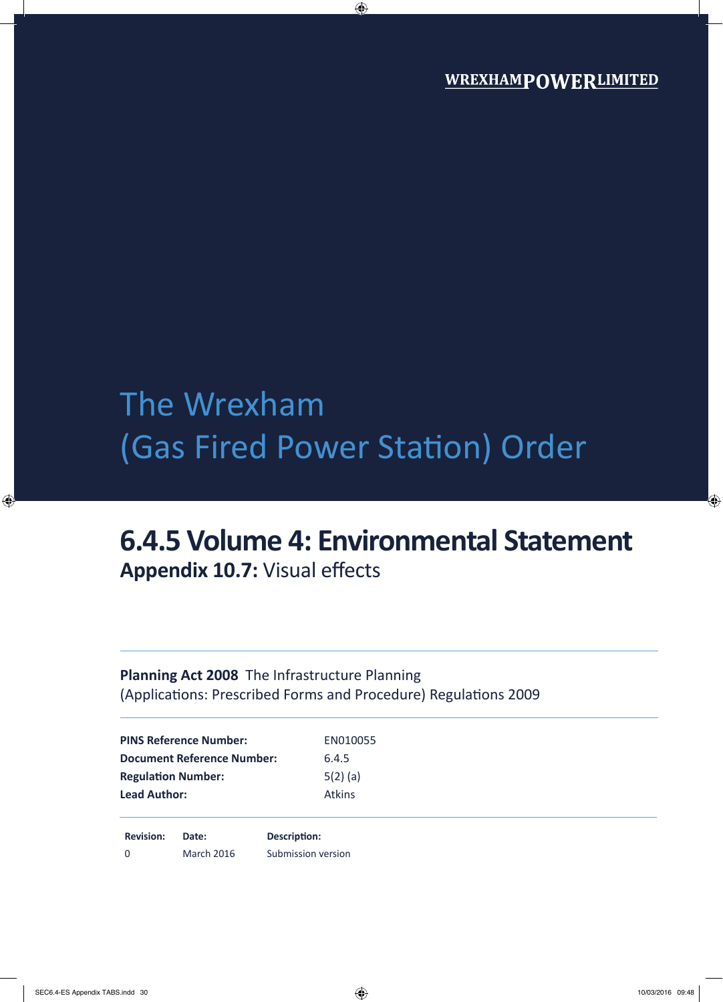# The Wrexham (Gas Fired Power Station) Order

## **6.4.5 Volume 4: Environmental Statement Appendix 10.7:** Visual effects

### **Planning Act 2008** The Infrastructure Planning (Applications: Prescribed Forms and Procedure) Regulations 2009

| <b>PINS Reference Number:</b>     | EN010055      |  |
|-----------------------------------|---------------|--|
| <b>Document Reference Number:</b> | 6.4.5         |  |
| <b>Regulation Number:</b>         | $5(2)$ (a)    |  |
| <b>Lead Author:</b>               | <b>Atkins</b> |  |
|                                   |               |  |
|                                   |               |  |

**Revision: Date: Description:** 0 March 2016 Submission version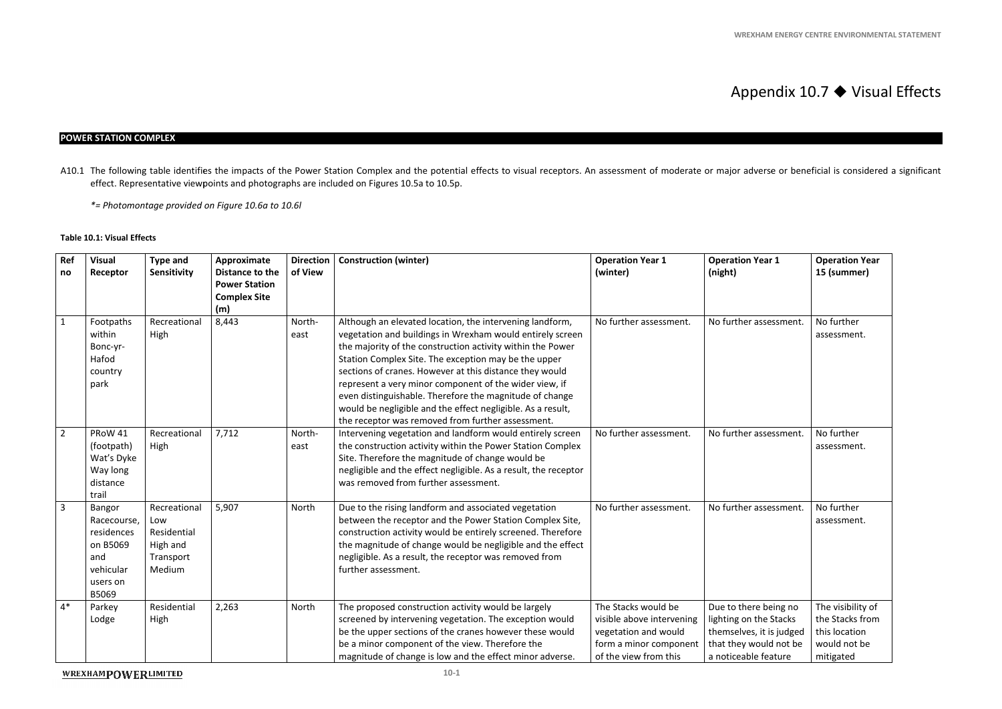### Appendix  $10.7$   $\blacklozenge$  Visual Effects

#### **POWER STATION COMPLEX**

A10.1 The following table identifies the impacts of the Power Station Complex and the potential effects to visual receptors. An assessment of moderate or major adverse or beneficial is considered a significant effect. Representative viewpoints and photographs are included on Figures 10.5a to 10.5p.

#### **Table 10.1: Visual Effects**

*\*= Photomontage provided on Figure 10.6a to 10.6l* 

| Ref<br>no      | <b>Visual</b><br>Receptor                                                                | <b>Type and</b><br>Sensitivity                                        | Approximate<br>Distance to the<br><b>Power Station</b><br><b>Complex Site</b><br>(m) | <b>Direction</b><br>of View | <b>Construction (winter)</b>                                                                                                                                                                                                                                                                                                                                                                                                                                                                                                                    | <b>Operation Year 1</b><br>(winter)                                                                                         | <b>Operation Year 1</b><br>(night)                                                                                            | <b>Operation Year</b><br>15 (summer)                                               |
|----------------|------------------------------------------------------------------------------------------|-----------------------------------------------------------------------|--------------------------------------------------------------------------------------|-----------------------------|-------------------------------------------------------------------------------------------------------------------------------------------------------------------------------------------------------------------------------------------------------------------------------------------------------------------------------------------------------------------------------------------------------------------------------------------------------------------------------------------------------------------------------------------------|-----------------------------------------------------------------------------------------------------------------------------|-------------------------------------------------------------------------------------------------------------------------------|------------------------------------------------------------------------------------|
| $\mathbf{1}$   | Footpaths<br>within<br>Bonc-yr-<br>Hafod<br>country<br>park                              | Recreational<br>High                                                  | 8,443                                                                                | North-<br>east              | Although an elevated location, the intervening landform,<br>vegetation and buildings in Wrexham would entirely screen<br>the majority of the construction activity within the Power<br>Station Complex Site. The exception may be the upper<br>sections of cranes. However at this distance they would<br>represent a very minor component of the wider view, if<br>even distinguishable. Therefore the magnitude of change<br>would be negligible and the effect negligible. As a result,<br>the receptor was removed from further assessment. | No further assessment.                                                                                                      | No further assessment.                                                                                                        | No further<br>assessment.                                                          |
| $\overline{2}$ | PRoW 41<br>(footpath)<br>Wat's Dyke<br>Way long<br>distance<br>trail                     | Recreational<br>High                                                  | 7,712                                                                                | North-<br>east              | Intervening vegetation and landform would entirely screen<br>the construction activity within the Power Station Complex<br>Site. Therefore the magnitude of change would be<br>negligible and the effect negligible. As a result, the receptor<br>was removed from further assessment.                                                                                                                                                                                                                                                          | No further assessment.                                                                                                      | No further assessment.                                                                                                        | No further<br>assessment.                                                          |
| $\overline{3}$ | Bangor<br>Racecourse,<br>residences<br>on B5069<br>and<br>vehicular<br>users on<br>B5069 | Recreational<br>Low<br>Residential<br>High and<br>Transport<br>Medium | 5,907                                                                                | North                       | Due to the rising landform and associated vegetation<br>between the receptor and the Power Station Complex Site,<br>construction activity would be entirely screened. Therefore<br>the magnitude of change would be negligible and the effect<br>negligible. As a result, the receptor was removed from<br>further assessment.                                                                                                                                                                                                                  | No further assessment.                                                                                                      | No further assessment.                                                                                                        | No further<br>assessment.                                                          |
| $4*$           | Parkey<br>Lodge                                                                          | Residential<br>High                                                   | 2,263                                                                                | North                       | The proposed construction activity would be largely<br>screened by intervening vegetation. The exception would<br>be the upper sections of the cranes however these would<br>be a minor component of the view. Therefore the<br>magnitude of change is low and the effect minor adverse.                                                                                                                                                                                                                                                        | The Stacks would be<br>visible above intervening<br>vegetation and would<br>form a minor component<br>of the view from this | Due to there being no<br>lighting on the Stacks<br>themselves, it is judged<br>that they would not be<br>a noticeable feature | The visibility of<br>the Stacks from<br>this location<br>would not be<br>mitigated |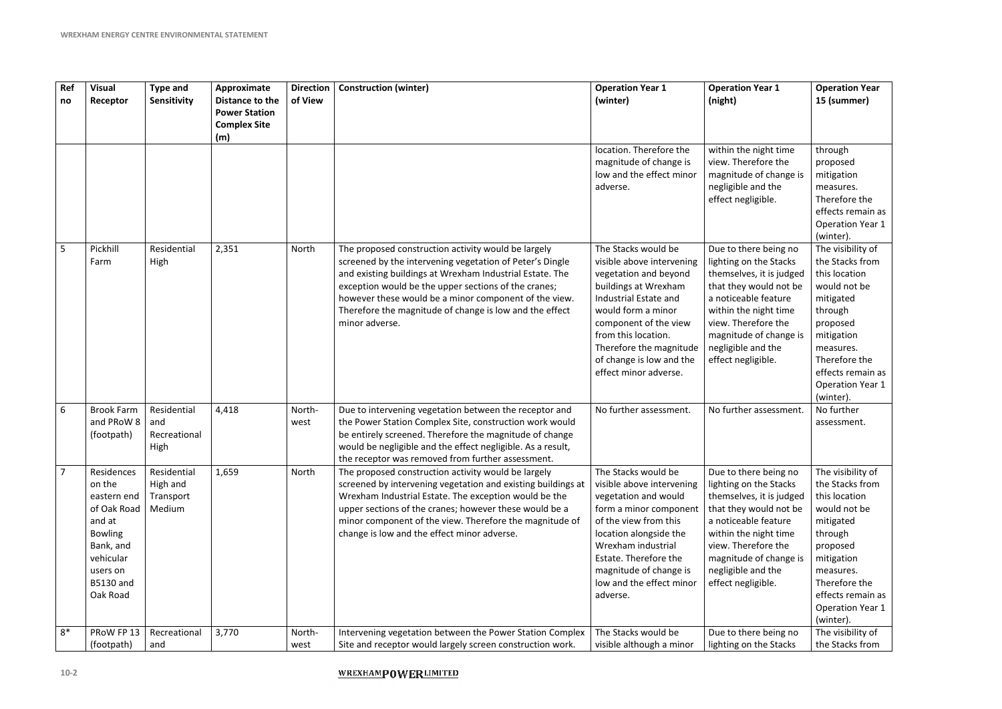| Ref<br>no      | <b>Visual</b><br>Receptor                                                                                                                            | <b>Type and</b><br>Sensitivity                 | Approximate<br>Distance to the<br><b>Power Station</b><br><b>Complex Site</b><br>(m) | <b>Direction</b><br>of View | <b>Construction (winter)</b>                                                                                                                                                                                                                                                                                                                                              | <b>Operation Year 1</b><br>(winter)                                                                                                                                                                                                                                              | <b>Operation Year 1</b><br>(night)                                                                                                                                                                                                                  | <b>Operation Year</b><br>15 (summer)                                                                                                                                                                               |
|----------------|------------------------------------------------------------------------------------------------------------------------------------------------------|------------------------------------------------|--------------------------------------------------------------------------------------|-----------------------------|---------------------------------------------------------------------------------------------------------------------------------------------------------------------------------------------------------------------------------------------------------------------------------------------------------------------------------------------------------------------------|----------------------------------------------------------------------------------------------------------------------------------------------------------------------------------------------------------------------------------------------------------------------------------|-----------------------------------------------------------------------------------------------------------------------------------------------------------------------------------------------------------------------------------------------------|--------------------------------------------------------------------------------------------------------------------------------------------------------------------------------------------------------------------|
|                |                                                                                                                                                      |                                                |                                                                                      |                             |                                                                                                                                                                                                                                                                                                                                                                           | location. Therefore the<br>magnitude of change is<br>low and the effect minor<br>adverse.                                                                                                                                                                                        | within the night time<br>view. Therefore the<br>magnitude of change is<br>negligible and the<br>effect negligible.                                                                                                                                  | through<br>proposed<br>mitigation<br>measures.<br>Therefore the<br>effects remain as<br><b>Operation Year 1</b><br>(winter).                                                                                       |
| 5              | Pickhill<br>Farm                                                                                                                                     | Residential<br>High                            | 2,351                                                                                | North                       | The proposed construction activity would be largely<br>screened by the intervening vegetation of Peter's Dingle<br>and existing buildings at Wrexham Industrial Estate. The<br>exception would be the upper sections of the cranes;<br>however these would be a minor component of the view.<br>Therefore the magnitude of change is low and the effect<br>minor adverse. | The Stacks would be<br>visible above intervening<br>vegetation and beyond<br>buildings at Wrexham<br>Industrial Estate and<br>would form a minor<br>component of the view<br>from this location.<br>Therefore the magnitude<br>of change is low and the<br>effect minor adverse. | Due to there being no<br>lighting on the Stacks<br>themselves, it is judged<br>that they would not be<br>a noticeable feature<br>within the night time<br>view. Therefore the<br>magnitude of change is<br>negligible and the<br>effect negligible. | The visibility of<br>the Stacks from<br>this location<br>would not be<br>mitigated<br>through<br>proposed<br>mitigation<br>measures.<br>Therefore the<br>effects remain as<br><b>Operation Year 1</b><br>(winter). |
| 6              | <b>Brook Farm</b><br>and PRoW 8<br>(footpath)                                                                                                        | Residential<br>and<br>Recreational<br>High     | 4,418                                                                                | North-<br>west              | Due to intervening vegetation between the receptor and<br>the Power Station Complex Site, construction work would<br>be entirely screened. Therefore the magnitude of change<br>would be negligible and the effect negligible. As a result,<br>the receptor was removed from further assessment.                                                                          | No further assessment.                                                                                                                                                                                                                                                           | No further assessment.                                                                                                                                                                                                                              | No further<br>assessment.                                                                                                                                                                                          |
| $\overline{7}$ | Residences<br>on the<br>eastern end<br>of Oak Road<br>and at<br><b>Bowling</b><br>Bank, and<br>vehicular<br>users on<br><b>B5130 and</b><br>Oak Road | Residential<br>High and<br>Transport<br>Medium | 1,659                                                                                | North                       | The proposed construction activity would be largely<br>screened by intervening vegetation and existing buildings at<br>Wrexham Industrial Estate. The exception would be the<br>upper sections of the cranes; however these would be a<br>minor component of the view. Therefore the magnitude of<br>change is low and the effect minor adverse.                          | The Stacks would be<br>visible above intervening<br>vegetation and would<br>form a minor component<br>of the view from this<br>location alongside the<br>Wrexham industrial<br>Estate. Therefore the<br>magnitude of change is<br>low and the effect minor<br>adverse.           | Due to there being no<br>lighting on the Stacks<br>themselves, it is judged<br>that they would not be<br>a noticeable feature<br>within the night time<br>view. Therefore the<br>magnitude of change is<br>negligible and the<br>effect negligible. | The visibility of<br>the Stacks from<br>this location<br>would not be<br>mitigated<br>through<br>proposed<br>mitigation<br>measures.<br>Therefore the<br>effects remain as<br><b>Operation Year 1</b><br>(winter). |
| $8*$           | PRoW FP 13<br>(footpath)                                                                                                                             | Recreational<br>and                            | 3,770                                                                                | North-<br>west              | Intervening vegetation between the Power Station Complex<br>Site and receptor would largely screen construction work.                                                                                                                                                                                                                                                     | The Stacks would be<br>visible although a minor                                                                                                                                                                                                                                  | Due to there being no<br>lighting on the Stacks                                                                                                                                                                                                     | The visibility of<br>the Stacks from                                                                                                                                                                               |

#### **WREXHAMPOWERLIMITED**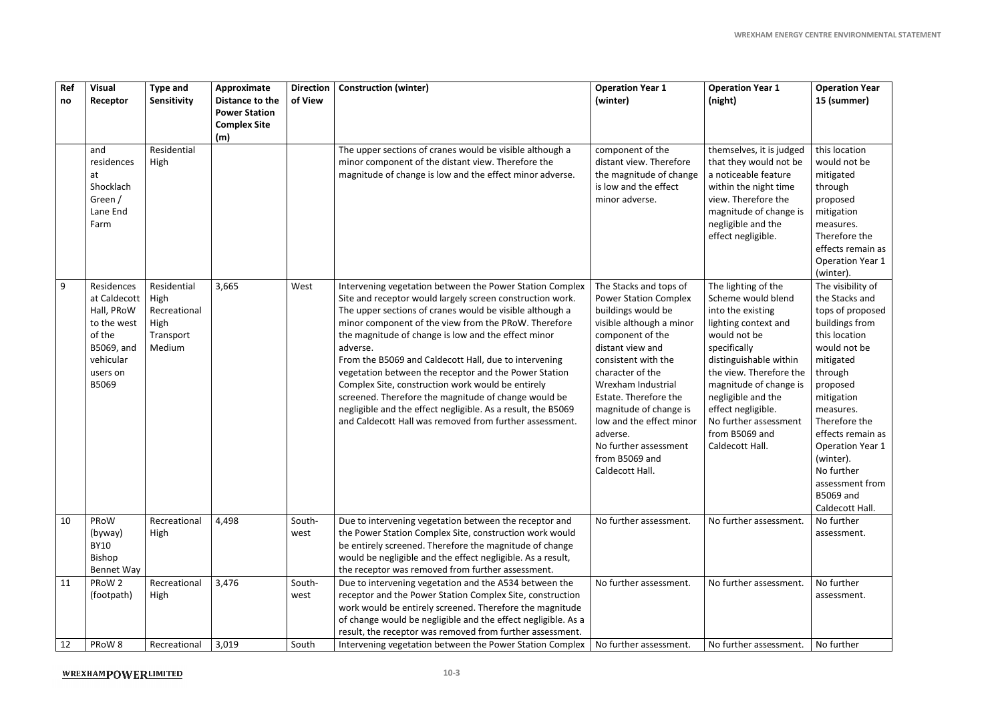| Ref<br>no | <b>Visual</b><br>Receptor                                                                                         | <b>Type and</b><br>Sensitivity                                     | Approximate<br>Distance to the<br><b>Power Station</b><br><b>Complex Site</b><br>(m) | <b>Direction</b><br>of View | <b>Construction (winter)</b>                                                                                                                                                                                                                                                                                                                                                                                                                                                                                                                                                                                                                                           | <b>Operation Year 1</b><br>(winter)                                                                                                                                                                                                                                                                                                                                        | <b>Operation Year 1</b><br>(night)                                                                                                                                                                                                                                                                              | <b>Operation Year</b><br>15 (summer)                                                                                                                                                                                                                                                                                     |
|-----------|-------------------------------------------------------------------------------------------------------------------|--------------------------------------------------------------------|--------------------------------------------------------------------------------------|-----------------------------|------------------------------------------------------------------------------------------------------------------------------------------------------------------------------------------------------------------------------------------------------------------------------------------------------------------------------------------------------------------------------------------------------------------------------------------------------------------------------------------------------------------------------------------------------------------------------------------------------------------------------------------------------------------------|----------------------------------------------------------------------------------------------------------------------------------------------------------------------------------------------------------------------------------------------------------------------------------------------------------------------------------------------------------------------------|-----------------------------------------------------------------------------------------------------------------------------------------------------------------------------------------------------------------------------------------------------------------------------------------------------------------|--------------------------------------------------------------------------------------------------------------------------------------------------------------------------------------------------------------------------------------------------------------------------------------------------------------------------|
|           | and<br>residences<br>at<br>Shocklach<br>Green /<br>Lane End<br>Farm                                               | Residential<br>High                                                |                                                                                      |                             | The upper sections of cranes would be visible although a<br>minor component of the distant view. Therefore the<br>magnitude of change is low and the effect minor adverse.                                                                                                                                                                                                                                                                                                                                                                                                                                                                                             | component of the<br>distant view. Therefore<br>the magnitude of change<br>is low and the effect<br>minor adverse.                                                                                                                                                                                                                                                          | themselves, it is judged<br>that they would not be<br>a noticeable feature<br>within the night time<br>view. Therefore the<br>magnitude of change is<br>negligible and the<br>effect negligible.                                                                                                                | this location<br>would not be<br>mitigated<br>through<br>proposed<br>mitigation<br>measures.<br>Therefore the<br>effects remain as<br><b>Operation Year 1</b><br>(winter).                                                                                                                                               |
| 9         | Residences<br>at Caldecott<br>Hall, PRoW<br>to the west<br>of the<br>B5069, and<br>vehicular<br>users on<br>B5069 | Residential<br>High<br>Recreational<br>High<br>Transport<br>Medium | 3,665                                                                                | West                        | Intervening vegetation between the Power Station Complex<br>Site and receptor would largely screen construction work.<br>The upper sections of cranes would be visible although a<br>minor component of the view from the PRoW. Therefore<br>the magnitude of change is low and the effect minor<br>adverse.<br>From the B5069 and Caldecott Hall, due to intervening<br>vegetation between the receptor and the Power Station<br>Complex Site, construction work would be entirely<br>screened. Therefore the magnitude of change would be<br>negligible and the effect negligible. As a result, the B5069<br>and Caldecott Hall was removed from further assessment. | The Stacks and tops of<br><b>Power Station Complex</b><br>buildings would be<br>visible although a minor<br>component of the<br>distant view and<br>consistent with the<br>character of the<br>Wrexham Industrial<br>Estate. Therefore the<br>magnitude of change is<br>low and the effect minor<br>adverse.<br>No further assessment<br>from B5069 and<br>Caldecott Hall. | The lighting of the<br>Scheme would blend<br>into the existing<br>lighting context and<br>would not be<br>specifically<br>distinguishable within<br>the view. Therefore the<br>magnitude of change is<br>negligible and the<br>effect negligible.<br>No further assessment<br>from B5069 and<br>Caldecott Hall. | The visibility of<br>the Stacks and<br>tops of proposed<br>buildings from<br>this location<br>would not be<br>mitigated<br>through<br>proposed<br>mitigation<br>measures.<br>Therefore the<br>effects remain as<br>Operation Year 1<br>(winter).<br>No further<br>assessment from<br><b>B5069 and</b><br>Caldecott Hall. |
| 10        | PRoW<br>(byway)<br><b>BY10</b><br>Bishop<br>Bennet Way                                                            | Recreational<br>High                                               | 4,498                                                                                | South-<br>west              | Due to intervening vegetation between the receptor and<br>the Power Station Complex Site, construction work would<br>be entirely screened. Therefore the magnitude of change<br>would be negligible and the effect negligible. As a result,<br>the receptor was removed from further assessment.                                                                                                                                                                                                                                                                                                                                                                       | No further assessment.                                                                                                                                                                                                                                                                                                                                                     | No further assessment.                                                                                                                                                                                                                                                                                          | No further<br>assessment.                                                                                                                                                                                                                                                                                                |
| 11        | PRoW 2<br>(footpath)                                                                                              | Recreational<br>High                                               | 3,476                                                                                | South-<br>west              | Due to intervening vegetation and the A534 between the<br>receptor and the Power Station Complex Site, construction<br>work would be entirely screened. Therefore the magnitude<br>of change would be negligible and the effect negligible. As a<br>result, the receptor was removed from further assessment.                                                                                                                                                                                                                                                                                                                                                          | No further assessment.                                                                                                                                                                                                                                                                                                                                                     | No further assessment.                                                                                                                                                                                                                                                                                          | No further<br>assessment.                                                                                                                                                                                                                                                                                                |
| 12        | PRoW 8                                                                                                            | Recreational                                                       | 3,019                                                                                | South                       | Intervening vegetation between the Power Station Complex                                                                                                                                                                                                                                                                                                                                                                                                                                                                                                                                                                                                               | No further assessment.                                                                                                                                                                                                                                                                                                                                                     | No further assessment.                                                                                                                                                                                                                                                                                          | No further                                                                                                                                                                                                                                                                                                               |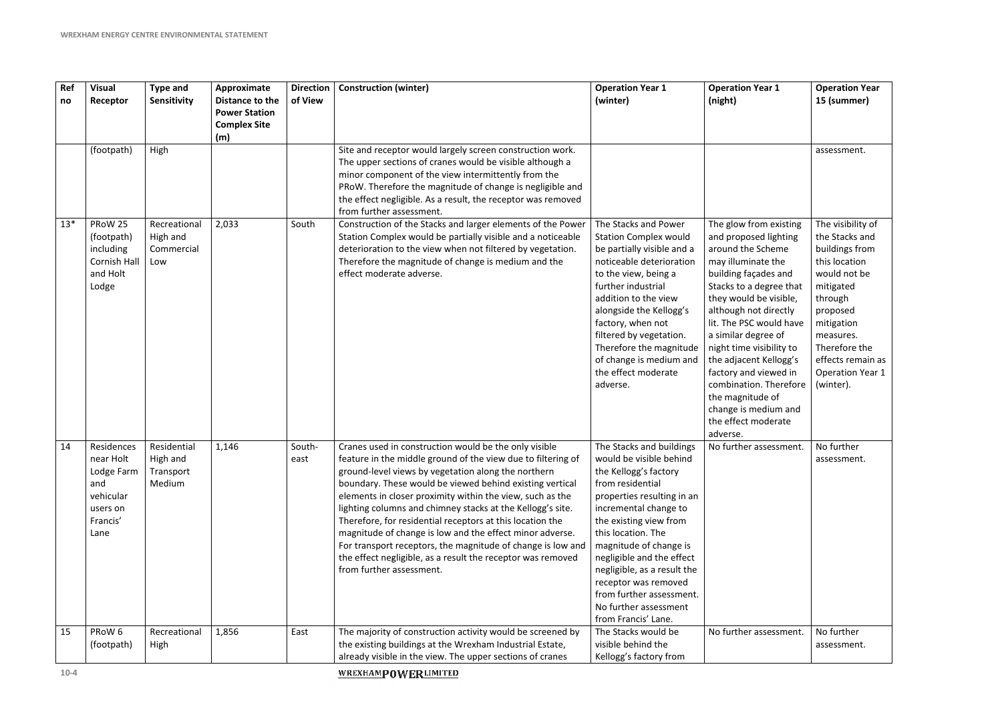| Ref<br>no | <b>Visual</b><br>Receptor                                                                 | <b>Type and</b><br>Sensitivity                 | Approximate<br>Distance to the<br><b>Power Station</b><br><b>Complex Site</b><br>(m) | <b>Direction</b><br>of View | <b>Construction (winter)</b>                                                                                                                                                                                                                                                                                                                                                                                                                                                                                                                                                                                                                           | <b>Operation Year 1</b><br>(winter)                                                                                                                                                                                                                                                                                                                                                               | <b>Operation Year 1</b><br>(night)                                                                                                                                                                                                                                                                                                                                                                                                         | <b>Operation Year</b><br>15 (summer)                                                                                                                                                                                                |
|-----------|-------------------------------------------------------------------------------------------|------------------------------------------------|--------------------------------------------------------------------------------------|-----------------------------|--------------------------------------------------------------------------------------------------------------------------------------------------------------------------------------------------------------------------------------------------------------------------------------------------------------------------------------------------------------------------------------------------------------------------------------------------------------------------------------------------------------------------------------------------------------------------------------------------------------------------------------------------------|---------------------------------------------------------------------------------------------------------------------------------------------------------------------------------------------------------------------------------------------------------------------------------------------------------------------------------------------------------------------------------------------------|--------------------------------------------------------------------------------------------------------------------------------------------------------------------------------------------------------------------------------------------------------------------------------------------------------------------------------------------------------------------------------------------------------------------------------------------|-------------------------------------------------------------------------------------------------------------------------------------------------------------------------------------------------------------------------------------|
|           | (footpath)                                                                                | High                                           |                                                                                      |                             | Site and receptor would largely screen construction work.<br>The upper sections of cranes would be visible although a<br>minor component of the view intermittently from the<br>PRoW. Therefore the magnitude of change is negligible and<br>the effect negligible. As a result, the receptor was removed<br>from further assessment.                                                                                                                                                                                                                                                                                                                  |                                                                                                                                                                                                                                                                                                                                                                                                   |                                                                                                                                                                                                                                                                                                                                                                                                                                            | assessment.                                                                                                                                                                                                                         |
| $13*$     | PRoW 25<br>(footpath)<br>including<br>Cornish Hall<br>and Holt<br>Lodge                   | Recreational<br>High and<br>Commercial<br>Low  | 2,033                                                                                | South                       | Construction of the Stacks and larger elements of the Power<br>Station Complex would be partially visible and a noticeable<br>deterioration to the view when not filtered by vegetation.<br>Therefore the magnitude of change is medium and the<br>effect moderate adverse.                                                                                                                                                                                                                                                                                                                                                                            | The Stacks and Power<br><b>Station Complex would</b><br>be partially visible and a<br>noticeable deterioration<br>to the view, being a<br>further industrial<br>addition to the view<br>alongside the Kellogg's<br>factory, when not<br>filtered by vegetation.<br>Therefore the magnitude<br>of change is medium and<br>the effect moderate<br>adverse.                                          | The glow from existing<br>and proposed lighting<br>around the Scheme<br>may illuminate the<br>building façades and<br>Stacks to a degree that<br>they would be visible,<br>although not directly<br>lit. The PSC would have<br>a similar degree of<br>night time visibility to<br>the adjacent Kellogg's<br>factory and viewed in<br>combination. Therefore<br>the magnitude of<br>change is medium and<br>the effect moderate<br>adverse. | The visibility of<br>the Stacks and<br>buildings from<br>this location<br>would not be<br>mitigated<br>through<br>proposed<br>mitigation<br>measures.<br>Therefore the<br>effects remain as<br><b>Operation Year 1</b><br>(winter). |
| 14        | Residences<br>near Holt<br>Lodge Farm<br>and<br>vehicular<br>users on<br>Francis'<br>Lane | Residential<br>High and<br>Transport<br>Medium | 1,146                                                                                | South-<br>east              | Cranes used in construction would be the only visible<br>feature in the middle ground of the view due to filtering of<br>ground-level views by vegetation along the northern<br>boundary. These would be viewed behind existing vertical<br>elements in closer proximity within the view, such as the<br>lighting columns and chimney stacks at the Kellogg's site.<br>Therefore, for residential receptors at this location the<br>magnitude of change is low and the effect minor adverse.<br>For transport receptors, the magnitude of change is low and<br>the effect negligible, as a result the receptor was removed<br>from further assessment. | The Stacks and buildings<br>would be visible behind<br>the Kellogg's factory<br>from residential<br>properties resulting in an<br>incremental change to<br>the existing view from<br>this location. The<br>magnitude of change is<br>negligible and the effect<br>negligible, as a result the<br>receptor was removed<br>from further assessment.<br>No further assessment<br>from Francis' Lane. | No further assessment.                                                                                                                                                                                                                                                                                                                                                                                                                     | No further<br>assessment.                                                                                                                                                                                                           |
| 15        | PRoW 6<br>(footpath)                                                                      | Recreational<br>High                           | 1,856                                                                                | East                        | The majority of construction activity would be screened by<br>the existing buildings at the Wrexham Industrial Estate,<br>already visible in the view. The upper sections of cranes                                                                                                                                                                                                                                                                                                                                                                                                                                                                    | The Stacks would be<br>visible behind the<br>Kellogg's factory from                                                                                                                                                                                                                                                                                                                               | No further assessment.                                                                                                                                                                                                                                                                                                                                                                                                                     | No further<br>assessment.                                                                                                                                                                                                           |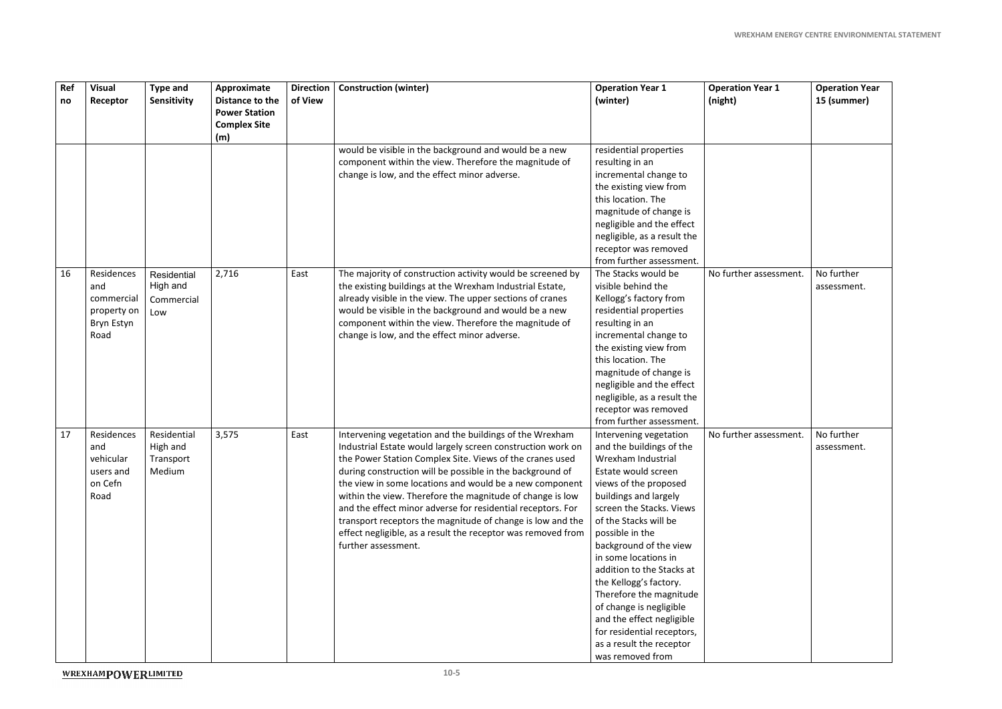| Ref<br>no | <b>Visual</b><br>Receptor                                            | <b>Type and</b><br>Sensitivity                 | Approximate<br>Distance to the<br><b>Power Station</b><br><b>Complex Site</b><br>(m) | <b>Direction</b><br>of View | <b>Construction (winter)</b>                                                                                                                                                                                                                                                                                                                                                                                                                                                                                                                                                                | <b>Operation Year 1</b><br>(winter)                                                                                                                                                                                                                                                                                                                                                                                                                                                                 | <b>Operation Year 1</b><br>(night) |
|-----------|----------------------------------------------------------------------|------------------------------------------------|--------------------------------------------------------------------------------------|-----------------------------|---------------------------------------------------------------------------------------------------------------------------------------------------------------------------------------------------------------------------------------------------------------------------------------------------------------------------------------------------------------------------------------------------------------------------------------------------------------------------------------------------------------------------------------------------------------------------------------------|-----------------------------------------------------------------------------------------------------------------------------------------------------------------------------------------------------------------------------------------------------------------------------------------------------------------------------------------------------------------------------------------------------------------------------------------------------------------------------------------------------|------------------------------------|
|           |                                                                      |                                                |                                                                                      |                             | would be visible in the background and would be a new<br>component within the view. Therefore the magnitude of<br>change is low, and the effect minor adverse.                                                                                                                                                                                                                                                                                                                                                                                                                              | residential properties<br>resulting in an<br>incremental change to<br>the existing view from<br>this location. The<br>magnitude of change is<br>negligible and the effect<br>negligible, as a result the<br>receptor was removed<br>from further assessment.                                                                                                                                                                                                                                        |                                    |
| 16        | Residences<br>and<br>commercial<br>property on<br>Bryn Estyn<br>Road | Residential<br>High and<br>Commercial<br>Low   | 2,716                                                                                | East                        | The majority of construction activity would be screened by<br>the existing buildings at the Wrexham Industrial Estate,<br>already visible in the view. The upper sections of cranes<br>would be visible in the background and would be a new<br>component within the view. Therefore the magnitude of<br>change is low, and the effect minor adverse.                                                                                                                                                                                                                                       | The Stacks would be<br>visible behind the<br>Kellogg's factory from<br>residential properties<br>resulting in an<br>incremental change to<br>the existing view from<br>this location. The<br>magnitude of change is<br>negligible and the effect<br>negligible, as a result the<br>receptor was removed<br>from further assessment.                                                                                                                                                                 | No further assessment.             |
| 17        | Residences<br>and<br>vehicular<br>users and<br>on Cefn<br>Road       | Residential<br>High and<br>Transport<br>Medium | 3,575                                                                                | East                        | Intervening vegetation and the buildings of the Wrexham<br>Industrial Estate would largely screen construction work on<br>the Power Station Complex Site. Views of the cranes used<br>during construction will be possible in the background of<br>the view in some locations and would be a new component<br>within the view. Therefore the magnitude of change is low<br>and the effect minor adverse for residential receptors. For<br>transport receptors the magnitude of change is low and the<br>effect negligible, as a result the receptor was removed from<br>further assessment. | Intervening vegetation<br>and the buildings of the<br>Wrexham Industrial<br>Estate would screen<br>views of the proposed<br>buildings and largely<br>screen the Stacks. Views<br>of the Stacks will be<br>possible in the<br>background of the view<br>in some locations in<br>addition to the Stacks at<br>the Kellogg's factory.<br>Therefore the magnitude<br>of change is negligible<br>and the effect negligible<br>for residential receptors,<br>as a result the receptor<br>was removed from | No further assessment.             |

| ear 1      | <b>Operation Year</b><br>15 (summer) |
|------------|--------------------------------------|
|            |                                      |
| ssessment. | No further<br>assessment.            |
| ssessment. | No further<br>assessment.            |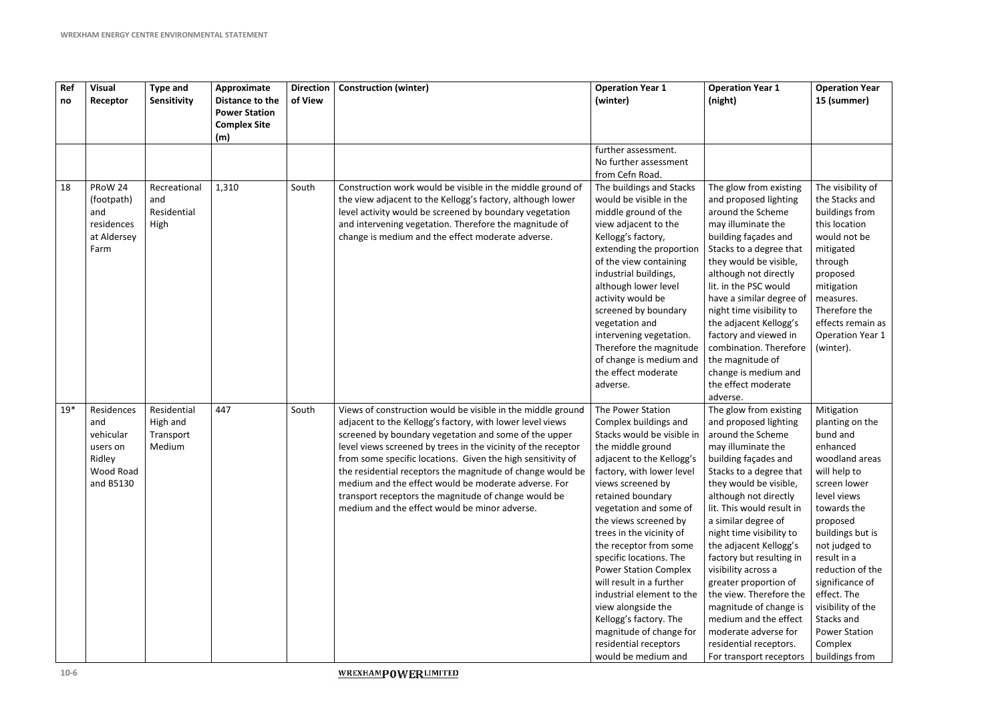| Ref<br>no | <b>Visual</b><br>Receptor                                                      | <b>Type and</b><br>Sensitivity                 | Approximate<br>Distance to the<br><b>Power Station</b><br><b>Complex Site</b><br>(m) | <b>Direction</b><br>of View | <b>Construction (winter)</b>                                                                                                                                                                                                                                                                                                                                                                                                                                                                                                                     | <b>Operation Year 1</b><br>(winter)                                                                                                                                                                                                                                                                                                                                                                                                                                                                                                                       | <b>Operation Year 1</b><br>(night)                                                                                                                                                                                                                                                                                                                                                                                                                                                                                                                | <b>Operation Year</b><br>15 (summer)                                                                                                                                                                                                                                                                                                                |
|-----------|--------------------------------------------------------------------------------|------------------------------------------------|--------------------------------------------------------------------------------------|-----------------------------|--------------------------------------------------------------------------------------------------------------------------------------------------------------------------------------------------------------------------------------------------------------------------------------------------------------------------------------------------------------------------------------------------------------------------------------------------------------------------------------------------------------------------------------------------|-----------------------------------------------------------------------------------------------------------------------------------------------------------------------------------------------------------------------------------------------------------------------------------------------------------------------------------------------------------------------------------------------------------------------------------------------------------------------------------------------------------------------------------------------------------|---------------------------------------------------------------------------------------------------------------------------------------------------------------------------------------------------------------------------------------------------------------------------------------------------------------------------------------------------------------------------------------------------------------------------------------------------------------------------------------------------------------------------------------------------|-----------------------------------------------------------------------------------------------------------------------------------------------------------------------------------------------------------------------------------------------------------------------------------------------------------------------------------------------------|
|           |                                                                                |                                                |                                                                                      |                             |                                                                                                                                                                                                                                                                                                                                                                                                                                                                                                                                                  | further assessment.<br>No further assessment<br>from Cefn Road.                                                                                                                                                                                                                                                                                                                                                                                                                                                                                           |                                                                                                                                                                                                                                                                                                                                                                                                                                                                                                                                                   |                                                                                                                                                                                                                                                                                                                                                     |
| 18        | PRoW 24<br>(footpath)<br>and<br>residences<br>at Aldersey<br>Farm              | Recreational<br>and<br>Residential<br>High     | 1,310                                                                                | South                       | Construction work would be visible in the middle ground of<br>the view adjacent to the Kellogg's factory, although lower<br>level activity would be screened by boundary vegetation<br>and intervening vegetation. Therefore the magnitude of<br>change is medium and the effect moderate adverse.                                                                                                                                                                                                                                               | The buildings and Stacks<br>would be visible in the<br>middle ground of the<br>view adjacent to the<br>Kellogg's factory,<br>extending the proportion<br>of the view containing<br>industrial buildings,<br>although lower level<br>activity would be<br>screened by boundary<br>vegetation and<br>intervening vegetation.<br>Therefore the magnitude<br>of change is medium and<br>the effect moderate<br>adverse.                                                                                                                                       | The glow from existing<br>and proposed lighting<br>around the Scheme<br>may illuminate the<br>building façades and<br>Stacks to a degree that<br>they would be visible,<br>although not directly<br>lit. in the PSC would<br>have a similar degree of<br>night time visibility to<br>the adjacent Kellogg's<br>factory and viewed in<br>combination. Therefore<br>the magnitude of<br>change is medium and<br>the effect moderate<br>adverse.                                                                                                     | The visibility of<br>the Stacks and<br>buildings from<br>this location<br>would not be<br>mitigated<br>through<br>proposed<br>mitigation<br>measures.<br>Therefore the<br>effects remain as<br><b>Operation Year 1</b><br>(winter).                                                                                                                 |
| $19*$     | Residences<br>and<br>vehicular<br>users on<br>Ridley<br>Wood Road<br>and B5130 | Residential<br>High and<br>Transport<br>Medium | 447                                                                                  | South                       | Views of construction would be visible in the middle ground<br>adjacent to the Kellogg's factory, with lower level views<br>screened by boundary vegetation and some of the upper<br>level views screened by trees in the vicinity of the receptor<br>from some specific locations. Given the high sensitivity of<br>the residential receptors the magnitude of change would be<br>medium and the effect would be moderate adverse. For<br>transport receptors the magnitude of change would be<br>medium and the effect would be minor adverse. | The Power Station<br>Complex buildings and<br>Stacks would be visible in<br>the middle ground<br>adjacent to the Kellogg's<br>factory, with lower level<br>views screened by<br>retained boundary<br>vegetation and some of<br>the views screened by<br>trees in the vicinity of<br>the receptor from some<br>specific locations. The<br><b>Power Station Complex</b><br>will result in a further<br>industrial element to the<br>view alongside the<br>Kellogg's factory. The<br>magnitude of change for<br>residential receptors<br>would be medium and | The glow from existing<br>and proposed lighting<br>around the Scheme<br>may illuminate the<br>building façades and<br>Stacks to a degree that<br>they would be visible,<br>although not directly<br>lit. This would result in<br>a similar degree of<br>night time visibility to<br>the adjacent Kellogg's<br>factory but resulting in<br>visibility across a<br>greater proportion of<br>the view. Therefore the<br>magnitude of change is<br>medium and the effect<br>moderate adverse for<br>residential receptors.<br>For transport receptors | Mitigation<br>planting on the<br>bund and<br>enhanced<br>woodland areas<br>will help to<br>screen lower<br>level views<br>towards the<br>proposed<br>buildings but is<br>not judged to<br>result in a<br>reduction of the<br>significance of<br>effect. The<br>visibility of the<br>Stacks and<br><b>Power Station</b><br>Complex<br>buildings from |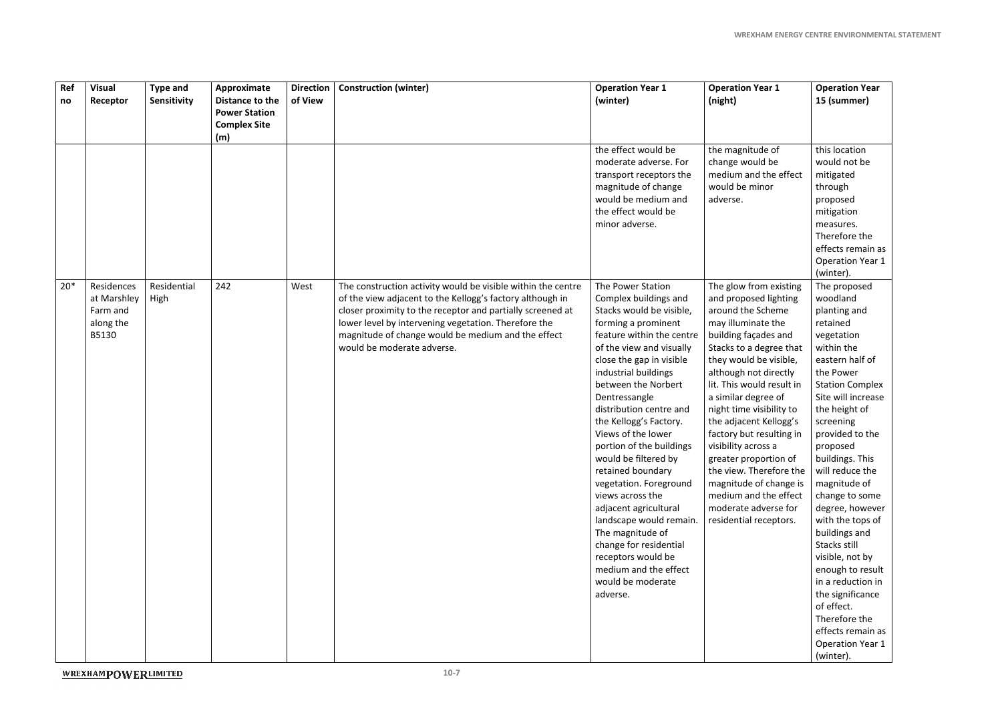| Ref<br>no | <b>Visual</b><br>Receptor                                   | <b>Type and</b><br>Sensitivity | Approximate<br>Distance to the<br><b>Power Station</b><br><b>Complex Site</b><br>(m) | <b>Direction</b><br>of View | <b>Construction (winter)</b>                                                                                                                                                                                                                                                                                                        | <b>Operation Year 1</b><br>(winter)                                                                                                                                                                                                                                                                                                                                                                                                                                                                                                                                                                                                    | <b>Operation Year 1</b><br>(night)                                                                                                                                                                                                                                                                                                                                                                                                                                                                                     | <b>Operation Year</b><br>15 (summer)                                                                                                                                                                                                                                                                                                                                                                                                                                                                                                                      |
|-----------|-------------------------------------------------------------|--------------------------------|--------------------------------------------------------------------------------------|-----------------------------|-------------------------------------------------------------------------------------------------------------------------------------------------------------------------------------------------------------------------------------------------------------------------------------------------------------------------------------|----------------------------------------------------------------------------------------------------------------------------------------------------------------------------------------------------------------------------------------------------------------------------------------------------------------------------------------------------------------------------------------------------------------------------------------------------------------------------------------------------------------------------------------------------------------------------------------------------------------------------------------|------------------------------------------------------------------------------------------------------------------------------------------------------------------------------------------------------------------------------------------------------------------------------------------------------------------------------------------------------------------------------------------------------------------------------------------------------------------------------------------------------------------------|-----------------------------------------------------------------------------------------------------------------------------------------------------------------------------------------------------------------------------------------------------------------------------------------------------------------------------------------------------------------------------------------------------------------------------------------------------------------------------------------------------------------------------------------------------------|
|           |                                                             |                                |                                                                                      |                             |                                                                                                                                                                                                                                                                                                                                     | the effect would be<br>moderate adverse. For<br>transport receptors the<br>magnitude of change<br>would be medium and<br>the effect would be<br>minor adverse.                                                                                                                                                                                                                                                                                                                                                                                                                                                                         | the magnitude of<br>change would be<br>medium and the effect<br>would be minor<br>adverse.                                                                                                                                                                                                                                                                                                                                                                                                                             | this location<br>would not be<br>mitigated<br>through<br>proposed<br>mitigation<br>measures.<br>Therefore the<br>effects remain as<br><b>Operation Year 1</b><br>(winter).                                                                                                                                                                                                                                                                                                                                                                                |
| $20*$     | Residences<br>at Marshley<br>Farm and<br>along the<br>B5130 | Residential<br>High            | 242                                                                                  | West                        | The construction activity would be visible within the centre<br>of the view adjacent to the Kellogg's factory although in<br>closer proximity to the receptor and partially screened at<br>lower level by intervening vegetation. Therefore the<br>magnitude of change would be medium and the effect<br>would be moderate adverse. | The Power Station<br>Complex buildings and<br>Stacks would be visible,<br>forming a prominent<br>feature within the centre<br>of the view and visually<br>close the gap in visible<br>industrial buildings<br>between the Norbert<br>Dentressangle<br>distribution centre and<br>the Kellogg's Factory.<br>Views of the lower<br>portion of the buildings<br>would be filtered by<br>retained boundary<br>vegetation. Foreground<br>views across the<br>adjacent agricultural<br>landscape would remain.<br>The magnitude of<br>change for residential<br>receptors would be<br>medium and the effect<br>would be moderate<br>adverse. | The glow from existing<br>and proposed lighting<br>around the Scheme<br>may illuminate the<br>building façades and<br>Stacks to a degree that<br>they would be visible,<br>although not directly<br>lit. This would result in<br>a similar degree of<br>night time visibility to<br>the adjacent Kellogg's<br>factory but resulting in<br>visibility across a<br>greater proportion of<br>the view. Therefore the<br>magnitude of change is<br>medium and the effect<br>moderate adverse for<br>residential receptors. | The proposed<br>woodland<br>planting and<br>retained<br>vegetation<br>within the<br>eastern half of<br>the Power<br><b>Station Complex</b><br>Site will increase<br>the height of<br>screening<br>provided to the<br>proposed<br>buildings. This<br>will reduce the<br>magnitude of<br>change to some<br>degree, however<br>with the tops of<br>buildings and<br>Stacks still<br>visible, not by<br>enough to result<br>in a reduction in<br>the significance<br>of effect.<br>Therefore the<br>effects remain as<br><b>Operation Year 1</b><br>(winter). |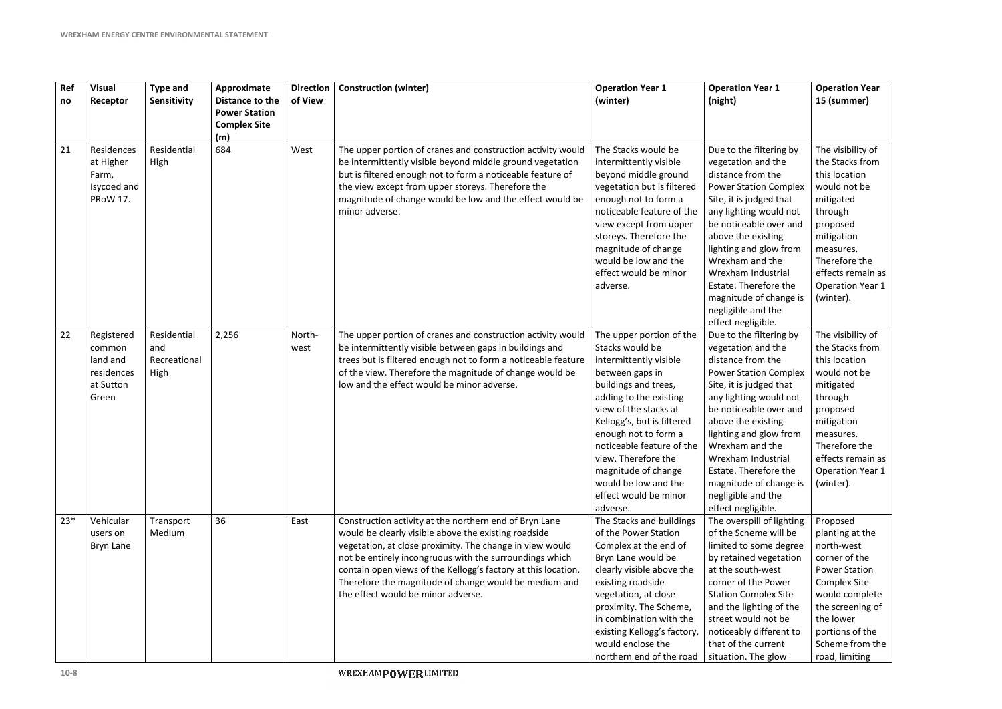| Ref<br>no | <b>Visual</b><br>Receptor                                            | <b>Type and</b><br>Sensitivity             | Approximate<br>Distance to the<br><b>Power Station</b> | <b>Direction</b><br>of View | <b>Construction (winter)</b>                                                                                                                                                                                                                                                                                                                                                                          | <b>Operation Year 1</b><br>(winter)                                                                                                                                                                                                                                                                                                                               | <b>Operation Year 1</b><br>(night)                                                                                                                                                                                                                                                                                                                                        | <b>Operation Year</b><br>15 (summer)                                                                                                                                                                                 |
|-----------|----------------------------------------------------------------------|--------------------------------------------|--------------------------------------------------------|-----------------------------|-------------------------------------------------------------------------------------------------------------------------------------------------------------------------------------------------------------------------------------------------------------------------------------------------------------------------------------------------------------------------------------------------------|-------------------------------------------------------------------------------------------------------------------------------------------------------------------------------------------------------------------------------------------------------------------------------------------------------------------------------------------------------------------|---------------------------------------------------------------------------------------------------------------------------------------------------------------------------------------------------------------------------------------------------------------------------------------------------------------------------------------------------------------------------|----------------------------------------------------------------------------------------------------------------------------------------------------------------------------------------------------------------------|
|           |                                                                      |                                            | <b>Complex Site</b><br>(m)                             |                             |                                                                                                                                                                                                                                                                                                                                                                                                       |                                                                                                                                                                                                                                                                                                                                                                   |                                                                                                                                                                                                                                                                                                                                                                           |                                                                                                                                                                                                                      |
| 21        | Residences<br>at Higher<br>Farm,<br>Isycoed and<br><b>PRoW 17.</b>   | Residential<br>High                        | 684                                                    | West                        | The upper portion of cranes and construction activity would<br>be intermittently visible beyond middle ground vegetation<br>but is filtered enough not to form a noticeable feature of<br>the view except from upper storeys. Therefore the<br>magnitude of change would be low and the effect would be<br>minor adverse.                                                                             | The Stacks would be<br>intermittently visible<br>beyond middle ground<br>vegetation but is filtered<br>enough not to form a<br>noticeable feature of the<br>view except from upper<br>storeys. Therefore the<br>magnitude of change<br>would be low and the<br>effect would be minor<br>adverse.                                                                  | Due to the filtering by<br>vegetation and the<br>distance from the<br><b>Power Station Complex</b><br>Site, it is judged that<br>any lighting would not<br>be noticeable over and<br>above the existing<br>lighting and glow from<br>Wrexham and the<br>Wrexham Industrial<br>Estate. Therefore the<br>magnitude of change is<br>negligible and the<br>effect negligible. | The visibility of<br>the Stacks from<br>this location<br>would not be<br>mitigated<br>through<br>proposed<br>mitigation<br>measures.<br>Therefore the<br>effects remain as<br><b>Operation Year 1</b><br>(winter).   |
| 22        | Registered<br>common<br>land and<br>residences<br>at Sutton<br>Green | Residential<br>and<br>Recreational<br>High | 2,256                                                  | North-<br>west              | The upper portion of cranes and construction activity would<br>be intermittently visible between gaps in buildings and<br>trees but is filtered enough not to form a noticeable feature<br>of the view. Therefore the magnitude of change would be<br>low and the effect would be minor adverse.                                                                                                      | The upper portion of the<br>Stacks would be<br>intermittently visible<br>between gaps in<br>buildings and trees,<br>adding to the existing<br>view of the stacks at<br>Kellogg's, but is filtered<br>enough not to form a<br>noticeable feature of the<br>view. Therefore the<br>magnitude of change<br>would be low and the<br>effect would be minor<br>adverse. | Due to the filtering by<br>vegetation and the<br>distance from the<br><b>Power Station Complex</b><br>Site, it is judged that<br>any lighting would not<br>be noticeable over and<br>above the existing<br>lighting and glow from<br>Wrexham and the<br>Wrexham Industrial<br>Estate. Therefore the<br>magnitude of change is<br>negligible and the<br>effect negligible. | The visibility of<br>the Stacks from<br>this location<br>would not be<br>mitigated<br>through<br>proposed<br>mitigation<br>measures.<br>Therefore the<br>effects remain as<br><b>Operation Year 1</b><br>(winter).   |
| $23*$     | Vehicular<br>users on<br>Bryn Lane                                   | Transport<br>Medium                        | 36                                                     | East                        | Construction activity at the northern end of Bryn Lane<br>would be clearly visible above the existing roadside<br>vegetation, at close proximity. The change in view would<br>not be entirely incongruous with the surroundings which<br>contain open views of the Kellogg's factory at this location.<br>Therefore the magnitude of change would be medium and<br>the effect would be minor adverse. | The Stacks and buildings<br>of the Power Station<br>Complex at the end of<br>Bryn Lane would be<br>clearly visible above the<br>existing roadside<br>vegetation, at close<br>proximity. The Scheme,<br>in combination with the<br>existing Kellogg's factory,<br>would enclose the<br>northern end of the road                                                    | The overspill of lighting<br>of the Scheme will be<br>limited to some degree<br>by retained vegetation<br>at the south-west<br>corner of the Power<br><b>Station Complex Site</b><br>and the lighting of the<br>street would not be<br>noticeably different to<br>that of the current<br>situation. The glow                                                              | Proposed<br>planting at the<br>north-west<br>corner of the<br><b>Power Station</b><br><b>Complex Site</b><br>would complete<br>the screening of<br>the lower<br>portions of the<br>Scheme from the<br>road, limiting |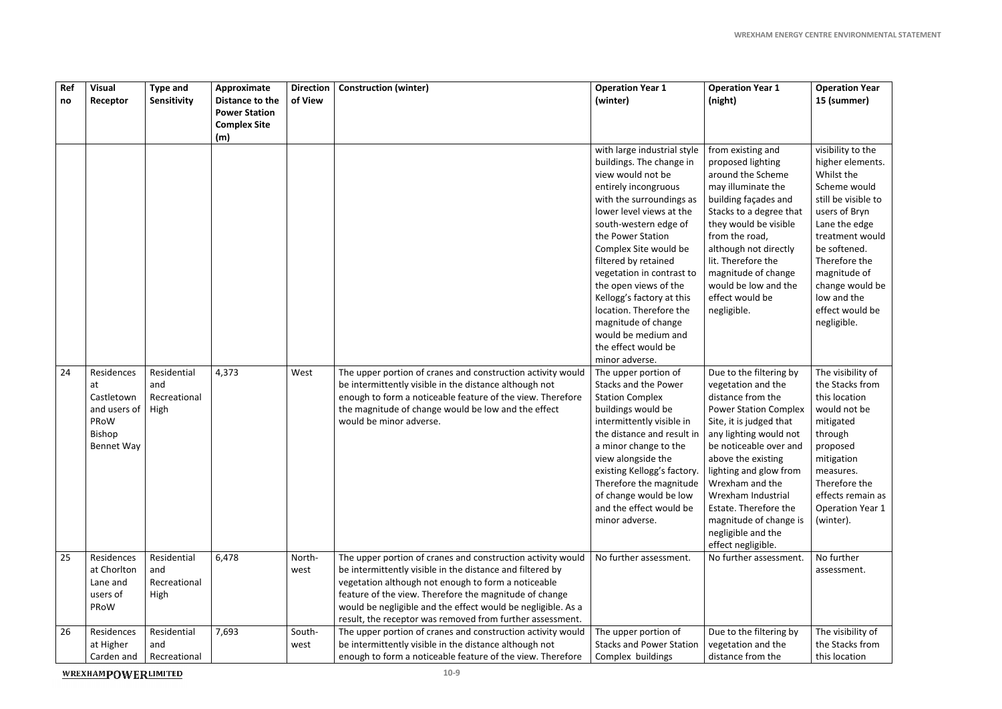| Ref<br>no | <b>Visual</b><br>Receptor                                                      | <b>Type and</b><br>Sensitivity             | Approximate<br>Distance to the<br><b>Power Station</b><br><b>Complex Site</b><br>(m) | <b>Direction</b><br>of View | <b>Construction (winter)</b>                                                                                                                                                                                                                                                                                                                                           | <b>Operation Year 1</b><br>(winter)                                                                                                                                                                                                                                                                                                                                                                                                                              | <b>Operation Year 1</b><br>(night)                                                                                                                                                                                                                                                                                                                                        | <b>Operation Year</b><br>15 (summer)                                                                                                                                                                                                                                 |
|-----------|--------------------------------------------------------------------------------|--------------------------------------------|--------------------------------------------------------------------------------------|-----------------------------|------------------------------------------------------------------------------------------------------------------------------------------------------------------------------------------------------------------------------------------------------------------------------------------------------------------------------------------------------------------------|------------------------------------------------------------------------------------------------------------------------------------------------------------------------------------------------------------------------------------------------------------------------------------------------------------------------------------------------------------------------------------------------------------------------------------------------------------------|---------------------------------------------------------------------------------------------------------------------------------------------------------------------------------------------------------------------------------------------------------------------------------------------------------------------------------------------------------------------------|----------------------------------------------------------------------------------------------------------------------------------------------------------------------------------------------------------------------------------------------------------------------|
|           |                                                                                |                                            |                                                                                      |                             |                                                                                                                                                                                                                                                                                                                                                                        | with large industrial style<br>buildings. The change in<br>view would not be<br>entirely incongruous<br>with the surroundings as<br>lower level views at the<br>south-western edge of<br>the Power Station<br>Complex Site would be<br>filtered by retained<br>vegetation in contrast to<br>the open views of the<br>Kellogg's factory at this<br>location. Therefore the<br>magnitude of change<br>would be medium and<br>the effect would be<br>minor adverse. | from existing and<br>proposed lighting<br>around the Scheme<br>may illuminate the<br>building façades and<br>Stacks to a degree that<br>they would be visible<br>from the road,<br>although not directly<br>lit. Therefore the<br>magnitude of change<br>would be low and the<br>effect would be<br>negligible.                                                           | visibility to the<br>higher elements.<br>Whilst the<br>Scheme would<br>still be visible to<br>users of Bryn<br>Lane the edge<br>treatment would<br>be softened.<br>Therefore the<br>magnitude of<br>change would be<br>low and the<br>effect would be<br>negligible. |
| 24        | Residences<br>at<br>Castletown<br>and users of<br>PRoW<br>Bishop<br>Bennet Way | Residential<br>and<br>Recreational<br>High | 4,373                                                                                | West                        | The upper portion of cranes and construction activity would<br>be intermittently visible in the distance although not<br>enough to form a noticeable feature of the view. Therefore<br>the magnitude of change would be low and the effect<br>would be minor adverse.                                                                                                  | The upper portion of<br>Stacks and the Power<br><b>Station Complex</b><br>buildings would be<br>intermittently visible in<br>the distance and result in<br>a minor change to the<br>view alongside the<br>existing Kellogg's factory.<br>Therefore the magnitude<br>of change would be low<br>and the effect would be<br>minor adverse.                                                                                                                          | Due to the filtering by<br>vegetation and the<br>distance from the<br><b>Power Station Complex</b><br>Site, it is judged that<br>any lighting would not<br>be noticeable over and<br>above the existing<br>lighting and glow from<br>Wrexham and the<br>Wrexham Industrial<br>Estate. Therefore the<br>magnitude of change is<br>negligible and the<br>effect negligible. | The visibility of<br>the Stacks from<br>this location<br>would not be<br>mitigated<br>through<br>proposed<br>mitigation<br>measures.<br>Therefore the<br>effects remain as<br><b>Operation Year 1</b><br>(winter).                                                   |
| 25        | Residences<br>at Chorlton<br>Lane and<br>users of<br>PRoW                      | Residential<br>and<br>Recreational<br>High | 6,478                                                                                | North-<br>west              | The upper portion of cranes and construction activity would<br>be intermittently visible in the distance and filtered by<br>vegetation although not enough to form a noticeable<br>feature of the view. Therefore the magnitude of change<br>would be negligible and the effect would be negligible. As a<br>result, the receptor was removed from further assessment. | No further assessment.                                                                                                                                                                                                                                                                                                                                                                                                                                           | No further assessment.                                                                                                                                                                                                                                                                                                                                                    | No further<br>assessment.                                                                                                                                                                                                                                            |
| 26        | Residences<br>at Higher<br>Carden and                                          | Residential<br>and<br>Recreational         | 7,693                                                                                | South-<br>west              | The upper portion of cranes and construction activity would<br>be intermittently visible in the distance although not<br>enough to form a noticeable feature of the view. Therefore                                                                                                                                                                                    | The upper portion of<br><b>Stacks and Power Station</b><br>Complex buildings                                                                                                                                                                                                                                                                                                                                                                                     | Due to the filtering by<br>vegetation and the<br>distance from the                                                                                                                                                                                                                                                                                                        | The visibility of<br>the Stacks from<br>this location                                                                                                                                                                                                                |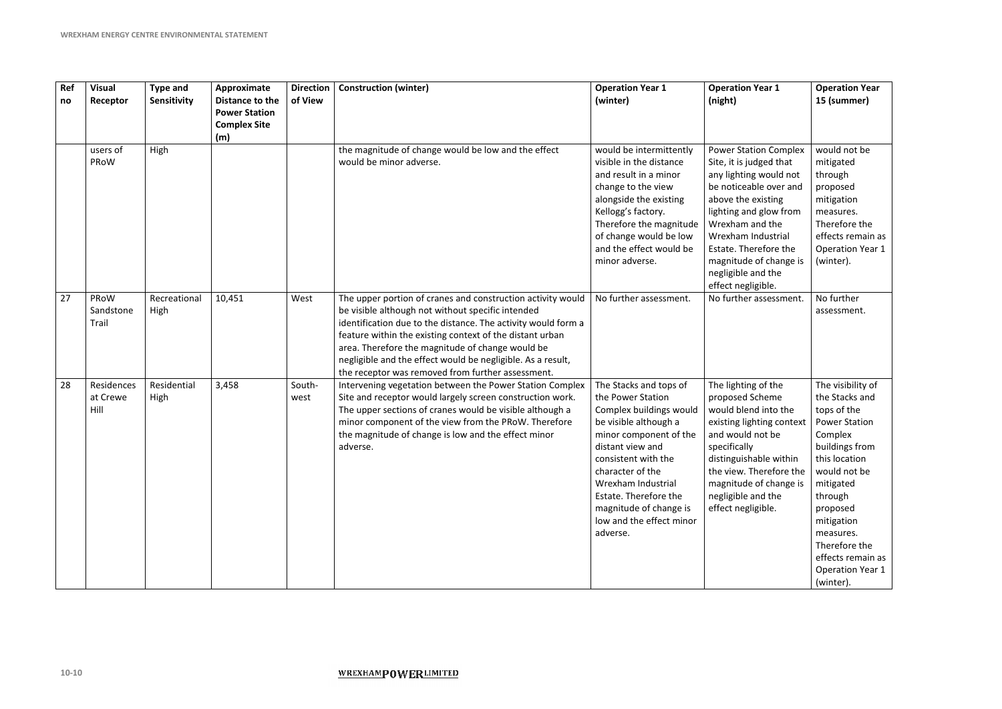| Ref<br>no | <b>Visual</b><br>Receptor      | <b>Type and</b><br>Sensitivity | Approximate<br>Distance to the<br><b>Power Station</b><br><b>Complex Site</b><br>(m) | <b>Direction</b><br>of View | <b>Construction (winter)</b>                                                                                                                                                                                                                                                                                                                                                                                          | <b>Operation Year 1</b><br>(winter)                                                                                                                                                                                                                                                                       | <b>Operation Year 1</b><br>(night)                                                                                                                                                                                                                                                                  | <b>Operation Year</b><br>15 (summer)                                                                                                                                                                                                                                           |
|-----------|--------------------------------|--------------------------------|--------------------------------------------------------------------------------------|-----------------------------|-----------------------------------------------------------------------------------------------------------------------------------------------------------------------------------------------------------------------------------------------------------------------------------------------------------------------------------------------------------------------------------------------------------------------|-----------------------------------------------------------------------------------------------------------------------------------------------------------------------------------------------------------------------------------------------------------------------------------------------------------|-----------------------------------------------------------------------------------------------------------------------------------------------------------------------------------------------------------------------------------------------------------------------------------------------------|--------------------------------------------------------------------------------------------------------------------------------------------------------------------------------------------------------------------------------------------------------------------------------|
|           | users of<br>PRoW               | High                           |                                                                                      |                             | the magnitude of change would be low and the effect<br>would be minor adverse.                                                                                                                                                                                                                                                                                                                                        | would be intermittently<br>visible in the distance<br>and result in a minor<br>change to the view<br>alongside the existing<br>Kellogg's factory.<br>Therefore the magnitude<br>of change would be low<br>and the effect would be<br>minor adverse.                                                       | <b>Power Station Complex</b><br>Site, it is judged that<br>any lighting would not<br>be noticeable over and<br>above the existing<br>lighting and glow from<br>Wrexham and the<br>Wrexham Industrial<br>Estate. Therefore the<br>magnitude of change is<br>negligible and the<br>effect negligible. | would not be<br>mitigated<br>through<br>proposed<br>mitigation<br>measures.<br>Therefore the<br>effects remain as<br><b>Operation Year 1</b><br>(winter).                                                                                                                      |
| 27        | PRoW<br>Sandstone<br>Trail     | Recreational<br>High           | 10,451                                                                               | West                        | The upper portion of cranes and construction activity would<br>be visible although not without specific intended<br>identification due to the distance. The activity would form a<br>feature within the existing context of the distant urban<br>area. Therefore the magnitude of change would be<br>negligible and the effect would be negligible. As a result,<br>the receptor was removed from further assessment. | No further assessment.                                                                                                                                                                                                                                                                                    | No further assessment.                                                                                                                                                                                                                                                                              | No further<br>assessment.                                                                                                                                                                                                                                                      |
| 28        | Residences<br>at Crewe<br>Hill | Residential<br>High            | 3,458                                                                                | South-<br>west              | Intervening vegetation between the Power Station Complex<br>Site and receptor would largely screen construction work.<br>The upper sections of cranes would be visible although a<br>minor component of the view from the PRoW. Therefore<br>the magnitude of change is low and the effect minor<br>adverse.                                                                                                          | The Stacks and tops of<br>the Power Station<br>Complex buildings would<br>be visible although a<br>minor component of the<br>distant view and<br>consistent with the<br>character of the<br>Wrexham Industrial<br>Estate. Therefore the<br>magnitude of change is<br>low and the effect minor<br>adverse. | The lighting of the<br>proposed Scheme<br>would blend into the<br>existing lighting context<br>and would not be<br>specifically<br>distinguishable within<br>the view. Therefore the<br>magnitude of change is<br>negligible and the<br>effect negligible.                                          | The visibility of<br>the Stacks and<br>tops of the<br><b>Power Station</b><br>Complex<br>buildings from<br>this location<br>would not be<br>mitigated<br>through<br>proposed<br>mitigation<br>measures.<br>Therefore the<br>effects remain as<br>Operation Year 1<br>(winter). |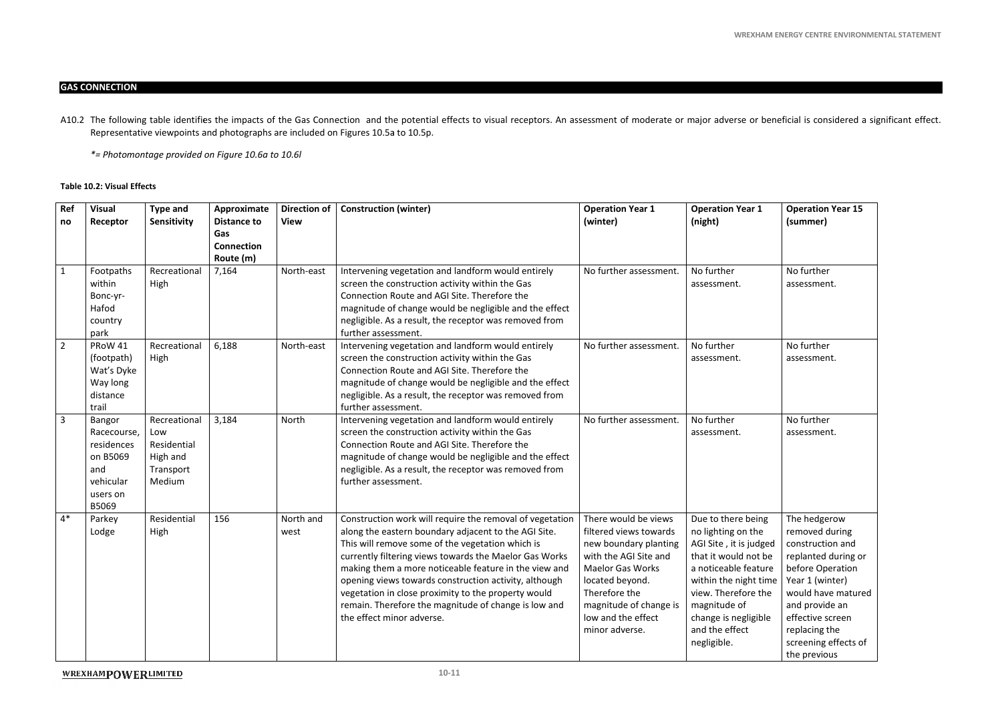#### **GAS CONNECTION**

A10.2 The following table identifies the impacts of the Gas Connection and the potential effects to visual receptors. An assessment of moderate or major adverse or beneficial is considered a significant effect. Representative viewpoints and photographs are included on Figures 10.5a to 10.5p.

#### **Table 10.2: Visual Effects**

*\*= Photomontage provided on Figure 10.6a to 10.6l* 

| Ref<br>no      | <b>Visual</b><br>Receptor                                                                | <b>Type and</b><br>Sensitivity                                        | Approximate<br><b>Distance to</b><br>Gas<br><b>Connection</b><br>Route (m) | <b>Direction of</b><br><b>View</b> | <b>Construction (winter)</b>                                                                                                                                                                                                                                                                                                                                                                                                                                                                 | <b>Operation Year 1</b><br>(winter)                                                                                                                                                                                               | <b>Operation Year 1</b><br>(night)                                                                                                                                                                                                          | <b>Operation Year 15</b><br>(summer)                                                                                                                                                                                                  |
|----------------|------------------------------------------------------------------------------------------|-----------------------------------------------------------------------|----------------------------------------------------------------------------|------------------------------------|----------------------------------------------------------------------------------------------------------------------------------------------------------------------------------------------------------------------------------------------------------------------------------------------------------------------------------------------------------------------------------------------------------------------------------------------------------------------------------------------|-----------------------------------------------------------------------------------------------------------------------------------------------------------------------------------------------------------------------------------|---------------------------------------------------------------------------------------------------------------------------------------------------------------------------------------------------------------------------------------------|---------------------------------------------------------------------------------------------------------------------------------------------------------------------------------------------------------------------------------------|
| $\mathbf{1}$   | Footpaths<br>within<br>Bonc-yr-<br>Hafod<br>country<br>park                              | Recreational<br>High                                                  | 7,164                                                                      | North-east                         | Intervening vegetation and landform would entirely<br>screen the construction activity within the Gas<br>Connection Route and AGI Site. Therefore the<br>magnitude of change would be negligible and the effect<br>negligible. As a result, the receptor was removed from<br>further assessment.                                                                                                                                                                                             | No further assessment.                                                                                                                                                                                                            | No further<br>assessment.                                                                                                                                                                                                                   | No further<br>assessment.                                                                                                                                                                                                             |
| $\overline{2}$ | PRoW 41<br>(footpath)<br>Wat's Dyke<br>Way long<br>distance<br>trail                     | Recreational<br>High                                                  | 6,188                                                                      | North-east                         | Intervening vegetation and landform would entirely<br>screen the construction activity within the Gas<br>Connection Route and AGI Site. Therefore the<br>magnitude of change would be negligible and the effect<br>negligible. As a result, the receptor was removed from<br>further assessment.                                                                                                                                                                                             | No further assessment.                                                                                                                                                                                                            | No further<br>assessment.                                                                                                                                                                                                                   | No further<br>assessment.                                                                                                                                                                                                             |
| $\overline{3}$ | Bangor<br>Racecourse,<br>residences<br>on B5069<br>and<br>vehicular<br>users on<br>B5069 | Recreational<br>Low<br>Residential<br>High and<br>Transport<br>Medium | 3,184                                                                      | North                              | Intervening vegetation and landform would entirely<br>screen the construction activity within the Gas<br>Connection Route and AGI Site. Therefore the<br>magnitude of change would be negligible and the effect<br>negligible. As a result, the receptor was removed from<br>further assessment.                                                                                                                                                                                             | No further assessment.                                                                                                                                                                                                            | No further<br>assessment.                                                                                                                                                                                                                   | No further<br>assessment.                                                                                                                                                                                                             |
| $4*$           | Parkey<br>Lodge                                                                          | Residential<br>High                                                   | 156                                                                        | North and<br>west                  | Construction work will require the removal of vegetation<br>along the eastern boundary adjacent to the AGI Site.<br>This will remove some of the vegetation which is<br>currently filtering views towards the Maelor Gas Works<br>making them a more noticeable feature in the view and<br>opening views towards construction activity, although<br>vegetation in close proximity to the property would<br>remain. Therefore the magnitude of change is low and<br>the effect minor adverse. | There would be views<br>filtered views towards<br>new boundary planting<br>with the AGI Site and<br><b>Maelor Gas Works</b><br>located beyond.<br>Therefore the<br>magnitude of change is<br>low and the effect<br>minor adverse. | Due to there being<br>no lighting on the<br>AGI Site, it is judged<br>that it would not be<br>a noticeable feature<br>within the night time<br>view. Therefore the<br>magnitude of<br>change is negligible<br>and the effect<br>negligible. | The hedgerow<br>removed during<br>construction and<br>replanted during or<br>before Operation<br>Year 1 (winter)<br>would have matured<br>and provide an<br>effective screen<br>replacing the<br>screening effects of<br>the previous |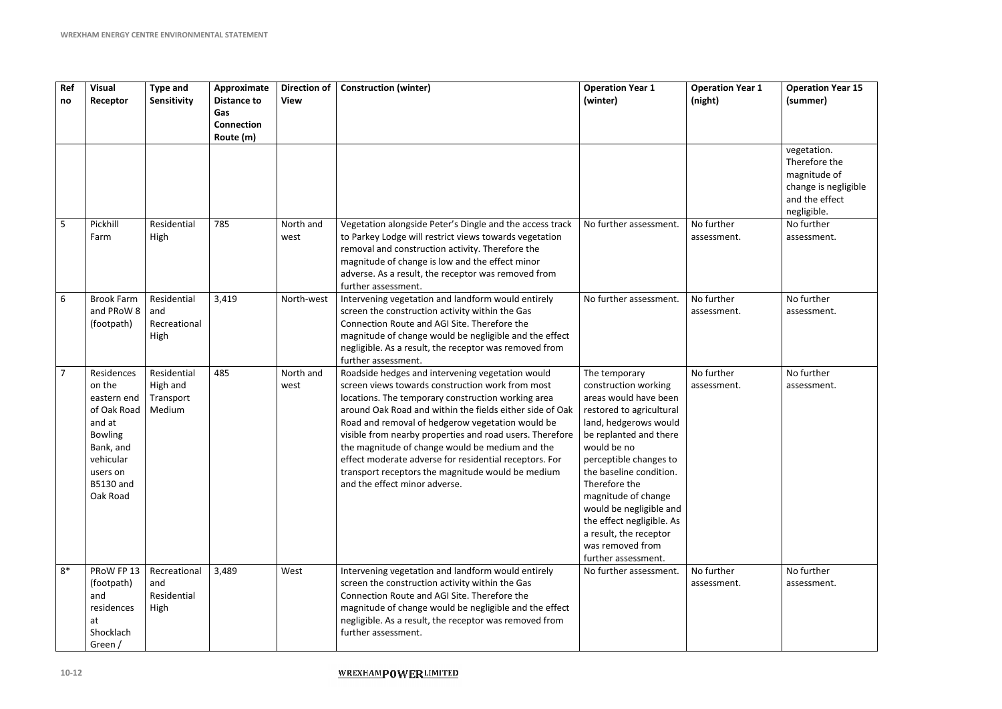| Ref<br>no       | <b>Visual</b><br>Receptor                                                                                                                            | <b>Type and</b><br>Sensitivity                 | Approximate<br><b>Distance to</b><br>Gas<br><b>Connection</b><br>Route (m) | <b>Direction of</b><br><b>View</b> | <b>Construction (winter)</b>                                                                                                                                                                                                                                                                                                                                                                                                                                                                                                              | <b>Operation Year 1</b><br>(winter)                                                                                                                                                                                                                                                                                                                                                    | <b>Operation Year 1</b><br>(night) |
|-----------------|------------------------------------------------------------------------------------------------------------------------------------------------------|------------------------------------------------|----------------------------------------------------------------------------|------------------------------------|-------------------------------------------------------------------------------------------------------------------------------------------------------------------------------------------------------------------------------------------------------------------------------------------------------------------------------------------------------------------------------------------------------------------------------------------------------------------------------------------------------------------------------------------|----------------------------------------------------------------------------------------------------------------------------------------------------------------------------------------------------------------------------------------------------------------------------------------------------------------------------------------------------------------------------------------|------------------------------------|
|                 |                                                                                                                                                      |                                                |                                                                            |                                    |                                                                                                                                                                                                                                                                                                                                                                                                                                                                                                                                           |                                                                                                                                                                                                                                                                                                                                                                                        |                                    |
| $5\overline{)}$ | Pickhill<br>Farm                                                                                                                                     | Residential<br>High                            | 785                                                                        | North and<br>west                  | Vegetation alongside Peter's Dingle and the access track<br>to Parkey Lodge will restrict views towards vegetation<br>removal and construction activity. Therefore the<br>magnitude of change is low and the effect minor<br>adverse. As a result, the receptor was removed from<br>further assessment.                                                                                                                                                                                                                                   | No further assessment.                                                                                                                                                                                                                                                                                                                                                                 | No further<br>assessment.          |
| 6               | <b>Brook Farm</b><br>and PRoW 8<br>(footpath)                                                                                                        | Residential<br>and<br>Recreational<br>High     | 3,419                                                                      | North-west                         | Intervening vegetation and landform would entirely<br>screen the construction activity within the Gas<br>Connection Route and AGI Site. Therefore the<br>magnitude of change would be negligible and the effect<br>negligible. As a result, the receptor was removed from<br>further assessment.                                                                                                                                                                                                                                          | No further assessment.                                                                                                                                                                                                                                                                                                                                                                 | No further<br>assessment.          |
| $\overline{7}$  | Residences<br>on the<br>eastern end<br>of Oak Road<br>and at<br><b>Bowling</b><br>Bank, and<br>vehicular<br>users on<br><b>B5130 and</b><br>Oak Road | Residential<br>High and<br>Transport<br>Medium | 485                                                                        | North and<br>west                  | Roadside hedges and intervening vegetation would<br>screen views towards construction work from most<br>locations. The temporary construction working area<br>around Oak Road and within the fields either side of Oak<br>Road and removal of hedgerow vegetation would be<br>visible from nearby properties and road users. Therefore<br>the magnitude of change would be medium and the<br>effect moderate adverse for residential receptors. For<br>transport receptors the magnitude would be medium<br>and the effect minor adverse. | The temporary<br>construction working<br>areas would have been<br>restored to agricultural<br>land, hedgerows would<br>be replanted and there<br>would be no<br>perceptible changes to<br>the baseline condition.<br>Therefore the<br>magnitude of change<br>would be negligible and<br>the effect negligible. As<br>a result, the receptor<br>was removed from<br>further assessment. | No further<br>assessment.          |
| $8*$            | PRoW FP 13<br>(footpath)<br>and<br>residences<br>at<br>Shocklach<br>Green /                                                                          | Recreational<br>and<br>Residential<br>High     | 3,489                                                                      | West                               | Intervening vegetation and landform would entirely<br>screen the construction activity within the Gas<br>Connection Route and AGI Site. Therefore the<br>magnitude of change would be negligible and the effect<br>negligible. As a result, the receptor was removed from<br>further assessment.                                                                                                                                                                                                                                          | No further assessment.                                                                                                                                                                                                                                                                                                                                                                 | No further<br>assessment.          |

| $\overline{\mathbf{1}}$ | <b>Operation Year 15</b> |
|-------------------------|--------------------------|
|                         | (summer)                 |
|                         |                          |
|                         |                          |
|                         |                          |
|                         | vegetation.              |
|                         | Therefore the            |
|                         | magnitude of             |
|                         | change is negligible     |
|                         | and the effect           |
|                         | negligible.              |
|                         | No further               |
|                         | assessment.              |
|                         |                          |
|                         |                          |
|                         |                          |
|                         |                          |
|                         |                          |
|                         | No further               |
|                         | assessment.              |
|                         |                          |
|                         |                          |
|                         |                          |
|                         |                          |
|                         | No further               |
|                         | assessment.              |
|                         |                          |
|                         |                          |
|                         |                          |
|                         |                          |
|                         |                          |
|                         |                          |
|                         |                          |
|                         |                          |
|                         |                          |
|                         |                          |
|                         |                          |
|                         |                          |
|                         |                          |
|                         |                          |
|                         | No further               |
|                         | assessment.              |
|                         |                          |
|                         |                          |
|                         |                          |
|                         |                          |
|                         |                          |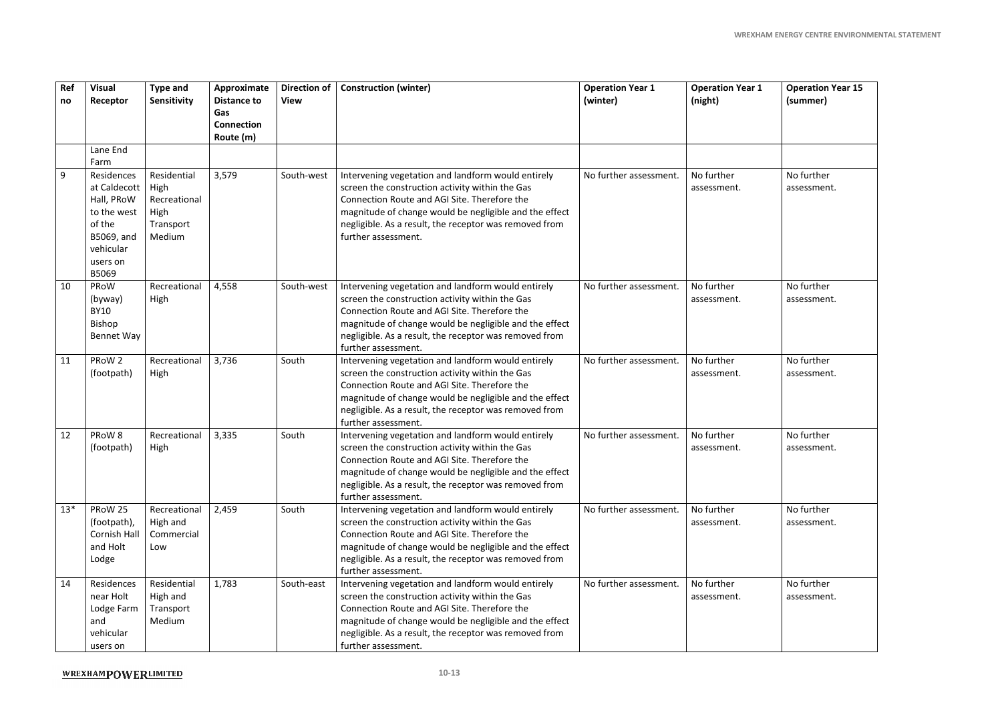|                  |                                                                                                                   |                                                                    |                                                                            |                                    |                                                                                                                                                                                                                                                                                                  |                                     |                                    | <b>WREXHAM ENERGY CENTRE ENVIRONMENTAL STATEMENT</b> |
|------------------|-------------------------------------------------------------------------------------------------------------------|--------------------------------------------------------------------|----------------------------------------------------------------------------|------------------------------------|--------------------------------------------------------------------------------------------------------------------------------------------------------------------------------------------------------------------------------------------------------------------------------------------------|-------------------------------------|------------------------------------|------------------------------------------------------|
|                  |                                                                                                                   |                                                                    |                                                                            |                                    |                                                                                                                                                                                                                                                                                                  |                                     |                                    |                                                      |
| <b>Ref</b><br>no | <b>Visual</b><br>Receptor                                                                                         | <b>Type and</b><br>Sensitivity                                     | Approximate<br><b>Distance to</b><br>Gas<br><b>Connection</b><br>Route (m) | <b>Direction of</b><br><b>View</b> | <b>Construction (winter)</b>                                                                                                                                                                                                                                                                     | <b>Operation Year 1</b><br>(winter) | <b>Operation Year 1</b><br>(night) | <b>Operation Year 15</b><br>(summer)                 |
|                  | Lane End<br>Farm                                                                                                  |                                                                    |                                                                            |                                    |                                                                                                                                                                                                                                                                                                  |                                     |                                    |                                                      |
| 9                | Residences<br>at Caldecott<br>Hall, PRoW<br>to the west<br>of the<br>B5069, and<br>vehicular<br>users on<br>B5069 | Residential<br>High<br>Recreational<br>High<br>Transport<br>Medium | 3,579                                                                      | South-west                         | Intervening vegetation and landform would entirely<br>screen the construction activity within the Gas<br>Connection Route and AGI Site. Therefore the<br>magnitude of change would be negligible and the effect<br>negligible. As a result, the receptor was removed from<br>further assessment. | No further assessment.              | No further<br>assessment.          | No further<br>assessment.                            |
| 10               | PRoW<br>(byway)<br><b>BY10</b><br><b>Bishop</b><br><b>Bennet Way</b>                                              | Recreational<br>High                                               | 4,558                                                                      | South-west                         | Intervening vegetation and landform would entirely<br>screen the construction activity within the Gas<br>Connection Route and AGI Site. Therefore the<br>magnitude of change would be negligible and the effect<br>negligible. As a result, the receptor was removed from<br>further assessment. | No further assessment.              | No further<br>assessment.          | No further<br>assessment.                            |
| 11               | PRoW 2<br>(footpath)                                                                                              | Recreational<br>High                                               | 3,736                                                                      | South                              | Intervening vegetation and landform would entirely<br>screen the construction activity within the Gas<br>Connection Route and AGI Site. Therefore the<br>magnitude of change would be negligible and the effect<br>negligible. As a result, the receptor was removed from<br>further assessment. | No further assessment.              | No further<br>assessment.          | No further<br>assessment.                            |
| 12               | PRoW 8<br>(footpath)                                                                                              | Recreational<br>High                                               | 3,335                                                                      | South                              | Intervening vegetation and landform would entirely<br>screen the construction activity within the Gas<br>Connection Route and AGI Site. Therefore the<br>magnitude of change would be negligible and the effect<br>negligible. As a result, the receptor was removed from<br>further assessment. | No further assessment.              | No further<br>assessment.          | No further<br>assessment.                            |
| $13*$            | PRoW 25<br>(footpath),<br><b>Cornish Hall</b><br>and Holt<br>Lodge                                                | Recreational<br>High and<br>Commercial<br>Low                      | 2,459                                                                      | South                              | Intervening vegetation and landform would entirely<br>screen the construction activity within the Gas<br>Connection Route and AGI Site. Therefore the<br>magnitude of change would be negligible and the effect<br>negligible. As a result, the receptor was removed from<br>further assessment. | No further assessment.              | No further<br>assessment.          | No further<br>assessment.                            |
| 14               | Residences<br>near Holt<br>Lodge Farm<br>and<br>vehicular<br>users on                                             | Residential<br>High and<br>Transport<br>Medium                     | 1,783                                                                      | South-east                         | Intervening vegetation and landform would entirely<br>screen the construction activity within the Gas<br>Connection Route and AGI Site. Therefore the<br>magnitude of change would be negligible and the effect<br>negligible. As a result, the receptor was removed from<br>further assessment. | No further assessment.              | No further<br>assessment.          | No further<br>assessment.                            |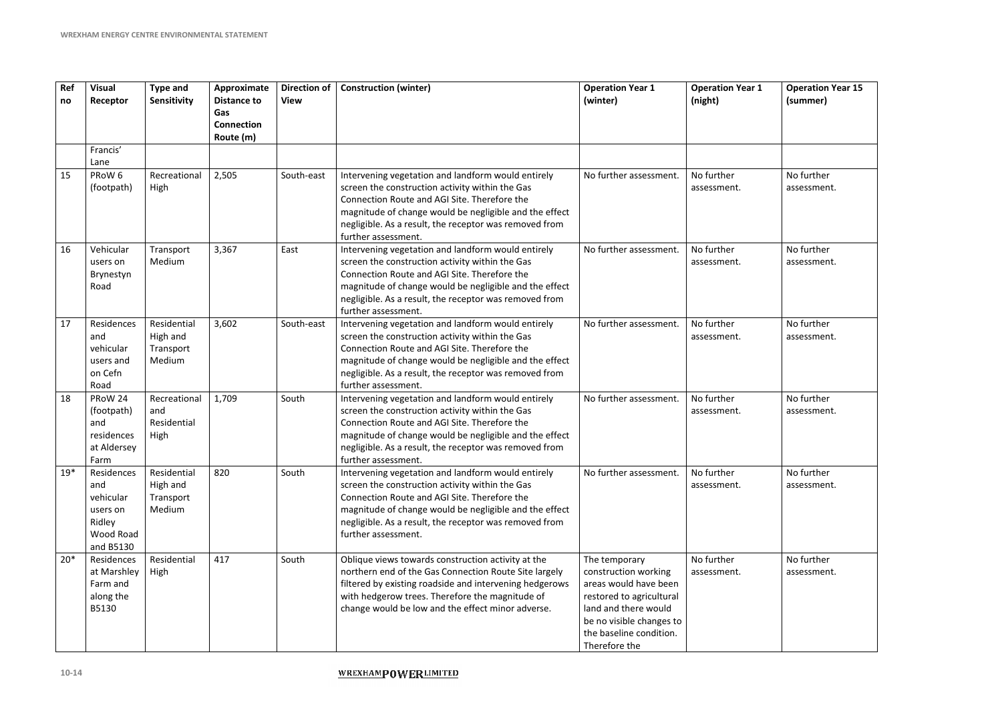| Ref<br>no | <b>Visual</b><br>Receptor                                                      | <b>Type and</b><br>Sensitivity                 | Approximate<br><b>Distance to</b><br>Gas<br><b>Connection</b><br>Route (m) | <b>Direction of</b><br><b>View</b> | <b>Construction (winter)</b>                                                                                                                                                                                                                                                                     | <b>Operation Year 1</b><br>(winter)                                                                                                                                                        | <b>Operation Year 1</b><br>(night) |
|-----------|--------------------------------------------------------------------------------|------------------------------------------------|----------------------------------------------------------------------------|------------------------------------|--------------------------------------------------------------------------------------------------------------------------------------------------------------------------------------------------------------------------------------------------------------------------------------------------|--------------------------------------------------------------------------------------------------------------------------------------------------------------------------------------------|------------------------------------|
|           | Francis'                                                                       |                                                |                                                                            |                                    |                                                                                                                                                                                                                                                                                                  |                                                                                                                                                                                            |                                    |
| 15        | Lane<br>PRoW <sub>6</sub><br>(footpath)                                        | Recreational<br>High                           | 2,505                                                                      | South-east                         | Intervening vegetation and landform would entirely<br>screen the construction activity within the Gas<br>Connection Route and AGI Site. Therefore the<br>magnitude of change would be negligible and the effect<br>negligible. As a result, the receptor was removed from<br>further assessment. | No further assessment.                                                                                                                                                                     | No further<br>assessment.          |
| 16        | Vehicular<br>users on<br>Brynestyn<br>Road                                     | Transport<br>Medium                            | 3,367                                                                      | East                               | Intervening vegetation and landform would entirely<br>screen the construction activity within the Gas<br>Connection Route and AGI Site. Therefore the<br>magnitude of change would be negligible and the effect<br>negligible. As a result, the receptor was removed from<br>further assessment. | No further assessment.                                                                                                                                                                     | No further<br>assessment.          |
| 17        | Residences<br>and<br>vehicular<br>users and<br>on Cefn<br>Road                 | Residential<br>High and<br>Transport<br>Medium | 3,602                                                                      | South-east                         | Intervening vegetation and landform would entirely<br>screen the construction activity within the Gas<br>Connection Route and AGI Site. Therefore the<br>magnitude of change would be negligible and the effect<br>negligible. As a result, the receptor was removed from<br>further assessment. | No further assessment.                                                                                                                                                                     | No further<br>assessment.          |
| 18        | PRoW 24<br>(footpath)<br>and<br>residences<br>at Aldersey<br>Farm              | Recreational<br>and<br>Residential<br>High     | 1,709                                                                      | South                              | Intervening vegetation and landform would entirely<br>screen the construction activity within the Gas<br>Connection Route and AGI Site. Therefore the<br>magnitude of change would be negligible and the effect<br>negligible. As a result, the receptor was removed from<br>further assessment. | No further assessment.                                                                                                                                                                     | No further<br>assessment.          |
| $19*$     | Residences<br>and<br>vehicular<br>users on<br>Ridley<br>Wood Road<br>and B5130 | Residential<br>High and<br>Transport<br>Medium | 820                                                                        | South                              | Intervening vegetation and landform would entirely<br>screen the construction activity within the Gas<br>Connection Route and AGI Site. Therefore the<br>magnitude of change would be negligible and the effect<br>negligible. As a result, the receptor was removed from<br>further assessment. | No further assessment.                                                                                                                                                                     | No further<br>assessment.          |
| $20*$     | Residences<br>at Marshley<br>Farm and<br>along the<br>B5130                    | Residential<br>High                            | 417                                                                        | South                              | Oblique views towards construction activity at the<br>northern end of the Gas Connection Route Site largely<br>filtered by existing roadside and intervening hedgerows<br>with hedgerow trees. Therefore the magnitude of<br>change would be low and the effect minor adverse.                   | The temporary<br>construction working<br>areas would have been<br>restored to agricultural<br>land and there would<br>be no visible changes to<br>the baseline condition.<br>Therefore the | No further<br>assessment.          |

| $\overline{\mathbf{1}}$ | <b>Operation Year 15</b><br>(summer) |
|-------------------------|--------------------------------------|
|                         |                                      |
|                         | No further<br>assessment.            |
|                         | No further<br>assessment.            |
|                         | No further<br>assessment.            |
|                         | No further<br>assessment.            |
|                         | No further<br>assessment.            |
|                         | No further<br>assessment.            |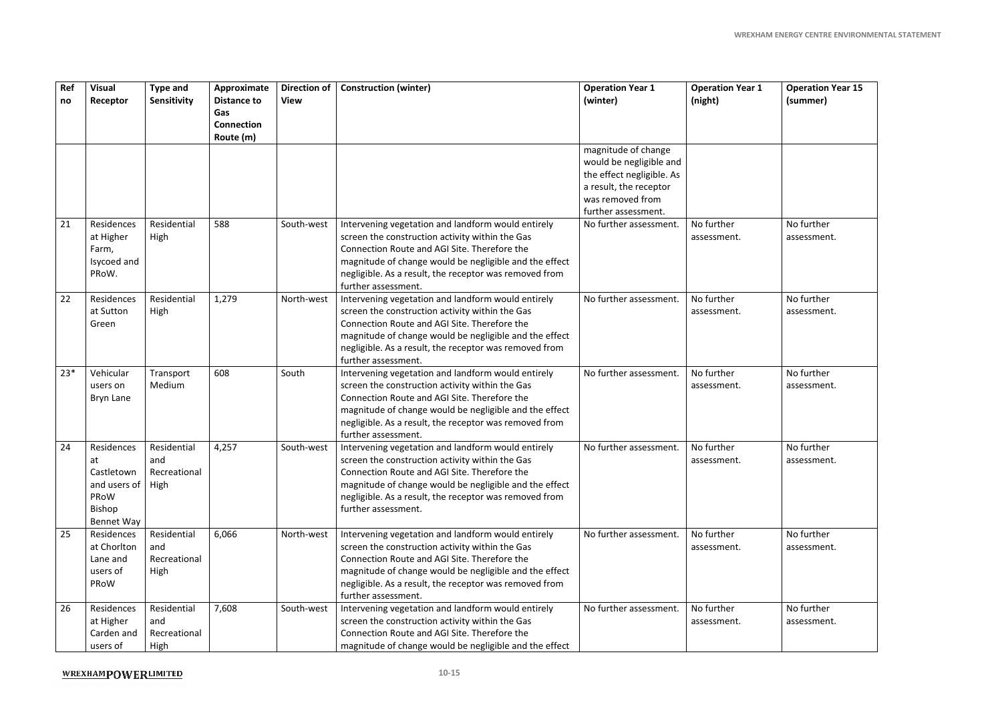| Ref<br>no | <b>Visual</b><br>Receptor                                                      | <b>Type and</b><br>Sensitivity             | Approximate<br><b>Distance to</b><br>Gas<br><b>Connection</b><br>Route (m) | <b>Direction of</b><br><b>View</b> | <b>Construction (winter)</b>                                                                                                                                                                                                                                                                     | <b>Operation Year 1</b><br>(winter)                                                                                                              | <b>Operation Year 1</b><br>(night) | <b>Operation Year 15</b><br>(summer) |
|-----------|--------------------------------------------------------------------------------|--------------------------------------------|----------------------------------------------------------------------------|------------------------------------|--------------------------------------------------------------------------------------------------------------------------------------------------------------------------------------------------------------------------------------------------------------------------------------------------|--------------------------------------------------------------------------------------------------------------------------------------------------|------------------------------------|--------------------------------------|
|           |                                                                                |                                            |                                                                            |                                    |                                                                                                                                                                                                                                                                                                  | magnitude of change<br>would be negligible and<br>the effect negligible. As<br>a result, the receptor<br>was removed from<br>further assessment. |                                    |                                      |
| 21        | Residences<br>at Higher<br>Farm,<br>Isycoed and<br>PRoW.                       | Residential<br>High                        | 588                                                                        | South-west                         | Intervening vegetation and landform would entirely<br>screen the construction activity within the Gas<br>Connection Route and AGI Site. Therefore the<br>magnitude of change would be negligible and the effect<br>negligible. As a result, the receptor was removed from<br>further assessment. | No further assessment.                                                                                                                           | No further<br>assessment.          | No further<br>assessment.            |
| 22        | Residences<br>at Sutton<br>Green                                               | Residential<br>High                        | 1,279                                                                      | North-west                         | Intervening vegetation and landform would entirely<br>screen the construction activity within the Gas<br>Connection Route and AGI Site. Therefore the<br>magnitude of change would be negligible and the effect<br>negligible. As a result, the receptor was removed from<br>further assessment. | No further assessment.                                                                                                                           | No further<br>assessment.          | No further<br>assessment.            |
| $23*$     | Vehicular<br>users on<br><b>Bryn Lane</b>                                      | Transport<br>Medium                        | 608                                                                        | South                              | Intervening vegetation and landform would entirely<br>screen the construction activity within the Gas<br>Connection Route and AGI Site. Therefore the<br>magnitude of change would be negligible and the effect<br>negligible. As a result, the receptor was removed from<br>further assessment. | No further assessment.                                                                                                                           | No further<br>assessment.          | No further<br>assessment.            |
| 24        | Residences<br>at<br>Castletown<br>and users of<br>PRoW<br>Bishop<br>Bennet Way | Residential<br>and<br>Recreational<br>High | 4,257                                                                      | South-west                         | Intervening vegetation and landform would entirely<br>screen the construction activity within the Gas<br>Connection Route and AGI Site. Therefore the<br>magnitude of change would be negligible and the effect<br>negligible. As a result, the receptor was removed from<br>further assessment. | No further assessment.                                                                                                                           | No further<br>assessment.          | No further<br>assessment.            |
| 25        | Residences<br>at Chorlton<br>Lane and<br>users of<br>PRoW                      | Residential<br>and<br>Recreational<br>High | 6,066                                                                      | North-west                         | Intervening vegetation and landform would entirely<br>screen the construction activity within the Gas<br>Connection Route and AGI Site. Therefore the<br>magnitude of change would be negligible and the effect<br>negligible. As a result, the receptor was removed from<br>further assessment. | No further assessment.                                                                                                                           | No further<br>assessment.          | No further<br>assessment.            |
| 26        | Residences<br>at Higher<br>Carden and<br>users of                              | Residential<br>and<br>Recreational<br>High | 7,608                                                                      | South-west                         | Intervening vegetation and landform would entirely<br>screen the construction activity within the Gas<br>Connection Route and AGI Site. Therefore the<br>magnitude of change would be negligible and the effect                                                                                  | No further assessment.                                                                                                                           | No further<br>assessment.          | No further<br>assessment.            |